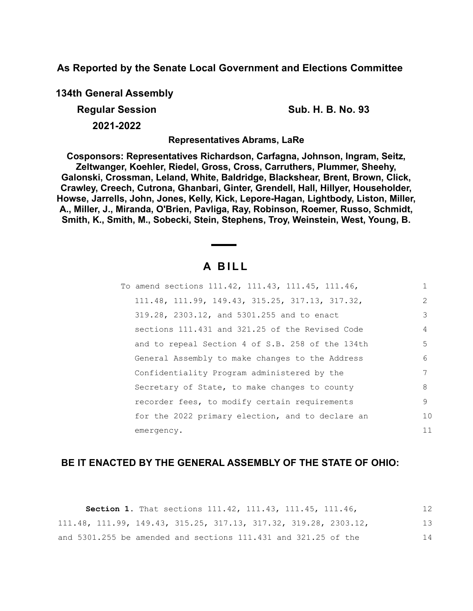**As Reported by the Senate Local Government and Elections Committee**

**134th General Assembly**

**Regular Session Sub. H. B. No. 93 2021-2022**

**Representatives Abrams, LaRe**

**Cosponsors: Representatives Richardson, Carfagna, Johnson, Ingram, Seitz, Zeltwanger, Koehler, Riedel, Gross, Cross, Carruthers, Plummer, Sheehy, Galonski, Crossman, Leland, White, Baldridge, Blackshear, Brent, Brown, Click, Crawley, Creech, Cutrona, Ghanbari, Ginter, Grendell, Hall, Hillyer, Householder, Howse, Jarrells, John, Jones, Kelly, Kick, Lepore-Hagan, Lightbody, Liston, Miller, A., Miller, J., Miranda, O'Brien, Pavliga, Ray, Robinson, Roemer, Russo, Schmidt, Smith, K., Smith, M., Sobecki, Stein, Stephens, Troy, Weinstein, West, Young, B.**

# **A B I L L**

| To amend sections 111.42, 111.43, 111.45, 111.46,               |    |
|-----------------------------------------------------------------|----|
| $111.48$ , $111.99$ , $149.43$ , $315.25$ , $317.13$ , $317.32$ | 2  |
| 319.28, 2303.12, and 5301.255 and to enact                      | 3  |
| sections 111.431 and 321.25 of the Revised Code                 | 4  |
| and to repeal Section 4 of S.B. 258 of the 134th                | 5  |
| General Assembly to make changes to the Address                 | 6  |
| Confidentiality Program administered by the                     | 7  |
| Secretary of State, to make changes to county                   | 8  |
| recorder fees, to modify certain requirements                   | 9  |
| for the 2022 primary election, and to declare an                | 10 |
| emergency.                                                      | 11 |

## **BE IT ENACTED BY THE GENERAL ASSEMBLY OF THE STATE OF OHIO:**

|  |  |  | <b>Section 1.</b> That sections 111.42, 111.43, 111.45, 111.46,                          |    |
|--|--|--|------------------------------------------------------------------------------------------|----|
|  |  |  | $111.48$ , $111.99$ , $149.43$ , $315.25$ , $317.13$ , $317.32$ , $319.28$ , $2303.12$ , | 13 |
|  |  |  | and $5301.255$ be amended and sections $111.431$ and $321.25$ of the                     | 14 |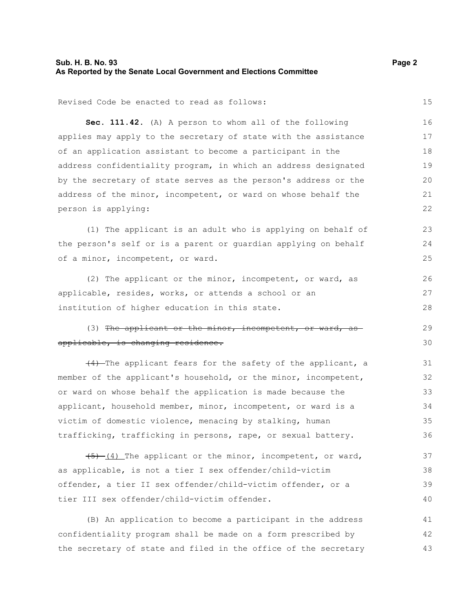#### **Sub. H. B. No. 93** Page 2 **As Reported by the Senate Local Government and Elections Committee**

Revised Code be enacted to read as follows:

**Sec. 111.42.** (A) A person to whom all of the following applies may apply to the secretary of state with the assistance of an application assistant to become a participant in the address confidentiality program, in which an address designated by the secretary of state serves as the person's address or the address of the minor, incompetent, or ward on whose behalf the person is applying: 16 17 18 19

(1) The applicant is an adult who is applying on behalf of the person's self or is a parent or guardian applying on behalf of a minor, incompetent, or ward. 23 24 25

(2) The applicant or the minor, incompetent, or ward, as applicable, resides, works, or attends a school or an institution of higher education in this state.

# (3) The applicant or the minor, incompetent, or ward, as applicable, is changing residence.

(4) The applicant fears for the safety of the applicant, a member of the applicant's household, or the minor, incompetent, or ward on whose behalf the application is made because the applicant, household member, minor, incompetent, or ward is a victim of domestic violence, menacing by stalking, human trafficking, trafficking in persons, rape, or sexual battery. 31 32 33 34 35 36

 $(4)$  The applicant or the minor, incompetent, or ward, as applicable, is not a tier I sex offender/child-victim offender, a tier II sex offender/child-victim offender, or a tier III sex offender/child-victim offender. 37 38 39 40

(B) An application to become a participant in the address confidentiality program shall be made on a form prescribed by the secretary of state and filed in the office of the secretary 41 42 43

15

20 21 22

26 27 28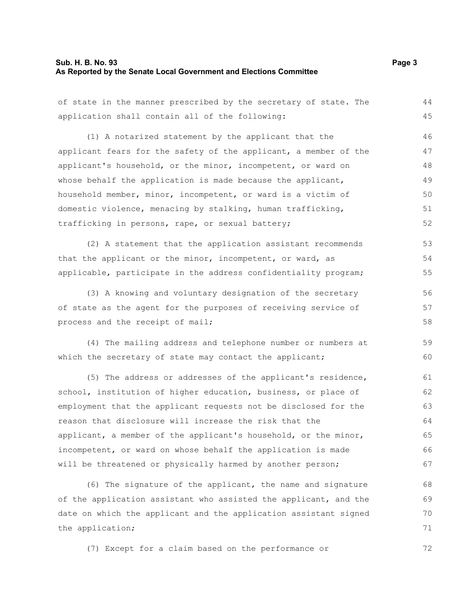#### **Sub. H. B. No. 93 Page 3 As Reported by the Senate Local Government and Elections Committee**

of state in the manner prescribed by the secretary of state. The application shall contain all of the following: (1) A notarized statement by the applicant that the applicant fears for the safety of the applicant, a member of the applicant's household, or the minor, incompetent, or ward on whose behalf the application is made because the applicant, household member, minor, incompetent, or ward is a victim of domestic violence, menacing by stalking, human trafficking, trafficking in persons, rape, or sexual battery; (2) A statement that the application assistant recommends that the applicant or the minor, incompetent, or ward, as applicable, participate in the address confidentiality program; (3) A knowing and voluntary designation of the secretary of state as the agent for the purposes of receiving service of process and the receipt of mail; (4) The mailing address and telephone number or numbers at which the secretary of state may contact the applicant; (5) The address or addresses of the applicant's residence, school, institution of higher education, business, or place of employment that the applicant requests not be disclosed for the reason that disclosure will increase the risk that the applicant, a member of the applicant's household, or the minor, 44 45 46 47 48 49 50 51 52 53 54 55 56 57 58 59 60 61 62 63 64 65

will be threatened or physically harmed by another person; (6) The signature of the applicant, the name and signature of the application assistant who assisted the applicant, and the date on which the applicant and the application assistant signed 67 68 69 70

(7) Except for a claim based on the performance or

incompetent, or ward on whose behalf the application is made

the application;

72

71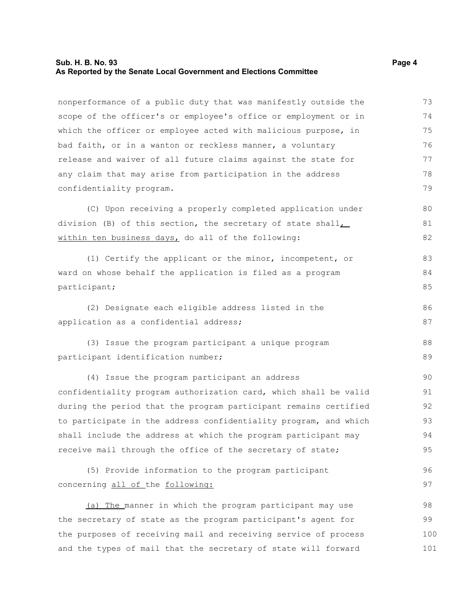#### **Sub. H. B. No. 93** Page 4 **As Reported by the Senate Local Government and Elections Committee**

nonperformance of a public duty that was manifestly outside the scope of the officer's or employee's office or employment or in which the officer or employee acted with malicious purpose, in bad faith, or in a wanton or reckless manner, a voluntary release and waiver of all future claims against the state for any claim that may arise from participation in the address confidentiality program. 73 74 75 76 77 78 79

(C) Upon receiving a properly completed application under division (B) of this section, the secretary of state shall, within ten business days, do all of the following: 80 81 82

(1) Certify the applicant or the minor, incompetent, or ward on whose behalf the application is filed as a program participant; 83 84 85

(2) Designate each eligible address listed in the application as a confidential address; 86 87

(3) Issue the program participant a unique program participant identification number; 88 89

(4) Issue the program participant an address confidentiality program authorization card, which shall be valid during the period that the program participant remains certified to participate in the address confidentiality program, and which shall include the address at which the program participant may receive mail through the office of the secretary of state; 90 91 92 93 94 95

(5) Provide information to the program participant concerning all of the following: 96 97

(a) The manner in which the program participant may use the secretary of state as the program participant's agent for the purposes of receiving mail and receiving service of process and the types of mail that the secretary of state will forward 98 99 100 101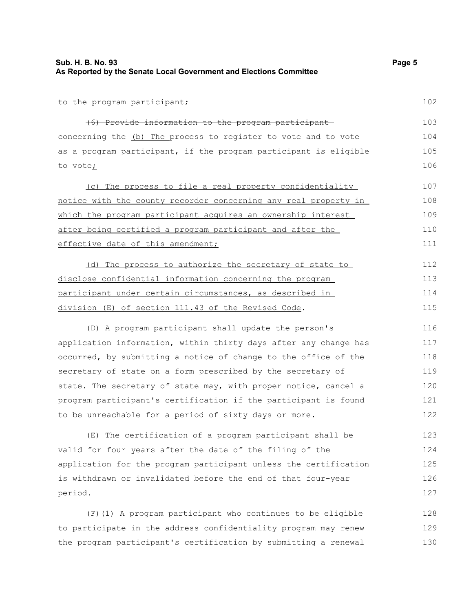to the program participant;

(6) Provide information to the program participant eoncerning the (b) The process to register to vote and to vote as a program participant, if the program participant is eligible to vote; 103 104 105 106

(c) The process to file a real property confidentiality notice with the county recorder concerning any real property in which the program participant acquires an ownership interest after being certified a program participant and after the effective date of this amendment; 107 108 109 110 111

(d) The process to authorize the secretary of state to disclose confidential information concerning the program participant under certain circumstances, as described in division (E) of section 111.43 of the Revised Code. 112 113 114 115

(D) A program participant shall update the person's application information, within thirty days after any change has occurred, by submitting a notice of change to the office of the secretary of state on a form prescribed by the secretary of state. The secretary of state may, with proper notice, cancel a program participant's certification if the participant is found to be unreachable for a period of sixty days or more. 116 117 118 119 120 121 122

(E) The certification of a program participant shall be valid for four years after the date of the filing of the application for the program participant unless the certification is withdrawn or invalidated before the end of that four-year period. 123 124 125 126

(F)(1) A program participant who continues to be eligible to participate in the address confidentiality program may renew the program participant's certification by submitting a renewal 128 129 130

102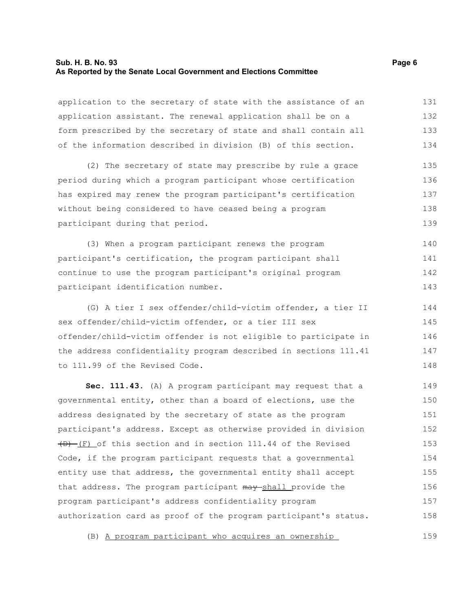#### **Sub. H. B. No. 93** Page 6 **As Reported by the Senate Local Government and Elections Committee**

application to the secretary of state with the assistance of an application assistant. The renewal application shall be on a form prescribed by the secretary of state and shall contain all of the information described in division (B) of this section. 131 132 133 134

(2) The secretary of state may prescribe by rule a grace period during which a program participant whose certification has expired may renew the program participant's certification without being considered to have ceased being a program participant during that period. 135 136 137 138 139

(3) When a program participant renews the program participant's certification, the program participant shall continue to use the program participant's original program participant identification number. 140 141 142 143

(G) A tier I sex offender/child-victim offender, a tier II sex offender/child-victim offender, or a tier III sex offender/child-victim offender is not eligible to participate in the address confidentiality program described in sections 111.41 to 111.99 of the Revised Code. 144 145 146 147 148

**Sec. 111.43.** (A) A program participant may request that a governmental entity, other than a board of elections, use the address designated by the secretary of state as the program participant's address. Except as otherwise provided in division  $(D)$  (F) of this section and in section 111.44 of the Revised Code, if the program participant requests that a governmental entity use that address, the governmental entity shall accept that address. The program participant  $m$ ay shall provide the program participant's address confidentiality program authorization card as proof of the program participant's status. 149 150 151 152 153 154 155 156 157 158

(B) A program participant who acquires an ownership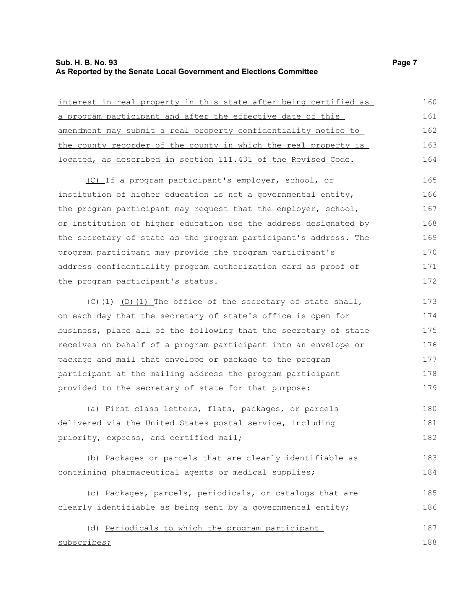### **Sub. H. B. No. 93** Page 7 **As Reported by the Senate Local Government and Elections Committee**

| interest in real property in this state after being certified as               | 160 |
|--------------------------------------------------------------------------------|-----|
| a program participant and after the effective date of this                     | 161 |
| amendment may submit a real property confidentiality notice to                 | 162 |
| the county recorder of the county in which the real property is                | 163 |
| located, as described in section 111.431 of the Revised Code.                  | 164 |
| (C) If a program participant's employer, school, or                            | 165 |
| institution of higher education is not a governmental entity,                  | 166 |
| the program participant may request that the employer, school,                 | 167 |
| or institution of higher education use the address designated by               | 168 |
| the secretary of state as the program participant's address. The               | 169 |
| program participant may provide the program participant's                      | 170 |
| address confidentiality program authorization card as proof of                 | 171 |
| the program participant's status.                                              | 172 |
| $\left(\frac{1}{1} - 1\right)$ (1) The office of the secretary of state shall, | 173 |
| on each day that the secretary of state's office is open for                   | 174 |
| business, place all of the following that the secretary of state               | 175 |
| receives on behalf of a program participant into an envelope or                | 176 |
| package and mail that envelope or package to the program                       | 177 |
| participant at the mailing address the program participant                     | 178 |
| provided to the secretary of state for that purpose:                           | 179 |
| (a) First class letters, flats, packages, or parcels                           | 180 |
|                                                                                |     |

delivered via the United States postal service, including priority, express, and certified mail; 181 182

(b) Packages or parcels that are clearly identifiable as containing pharmaceutical agents or medical supplies; 183 184

(c) Packages, parcels, periodicals, or catalogs that are clearly identifiable as being sent by a governmental entity; 185 186

(d) Periodicals to which the program participant subscribes; 187 188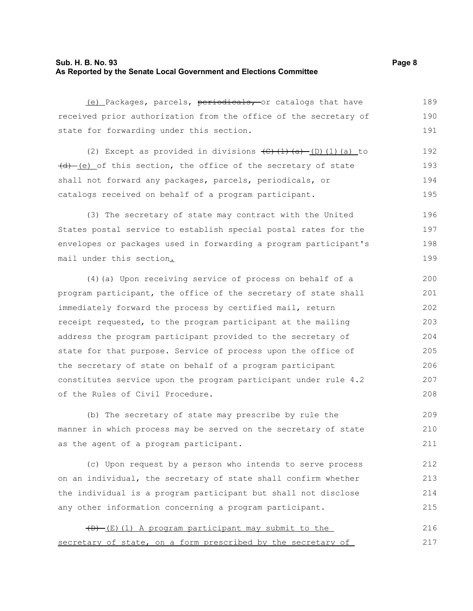#### **Sub. H. B. No. 93 Page 8 As Reported by the Senate Local Government and Elections Committee**

(e) Packages, parcels, periodicals, or catalogs that have received prior authorization from the office of the secretary of state for forwarding under this section. 189 190 191

(2) Except as provided in divisions  $\left(\frac{C}{1}\right)\left(\frac{1}{a}\right)$  (1)(a) to (d) (e) of this section, the office of the secretary of state shall not forward any packages, parcels, periodicals, or catalogs received on behalf of a program participant. 192 193 194 195

(3) The secretary of state may contract with the United States postal service to establish special postal rates for the envelopes or packages used in forwarding a program participant's mail under this section. 196 197 198 199

(4)(a) Upon receiving service of process on behalf of a program participant, the office of the secretary of state shall immediately forward the process by certified mail, return receipt requested, to the program participant at the mailing address the program participant provided to the secretary of state for that purpose. Service of process upon the office of the secretary of state on behalf of a program participant constitutes service upon the program participant under rule 4.2 of the Rules of Civil Procedure.

(b) The secretary of state may prescribe by rule the manner in which process may be served on the secretary of state as the agent of a program participant. 209 210 211

(c) Upon request by a person who intends to serve process on an individual, the secretary of state shall confirm whether the individual is a program participant but shall not disclose any other information concerning a program participant. 212 213 214 215

 $(D)$  (E)(1) A program participant may submit to the secretary of state, on a form prescribed by the secretary of 216 217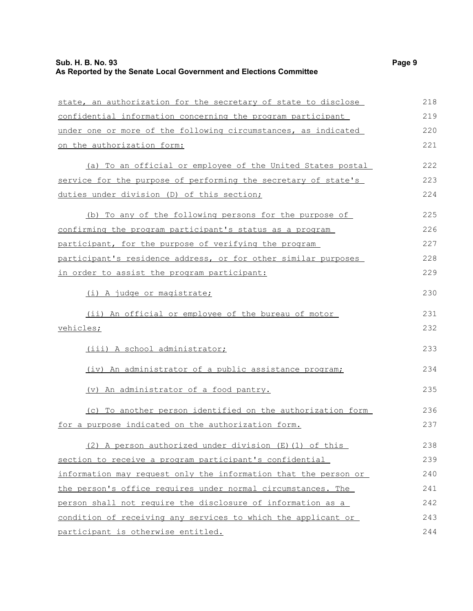| state, an authorization for the secretary of state to disclose  | 218 |
|-----------------------------------------------------------------|-----|
| confidential information concerning the program participant     | 219 |
| under one or more of the following circumstances, as indicated  | 220 |
| on the authorization form:                                      | 221 |
| (a) To an official or employee of the United States postal      | 222 |
| service for the purpose of performing the secretary of state's  | 223 |
| duties under division (D) of this section;                      | 224 |
| (b) To any of the following persons for the purpose of          | 225 |
| confirming the program participant's status as a program        | 226 |
| participant, for the purpose of verifying the program           | 227 |
| participant's residence address, or for other similar purposes  | 228 |
| in order to assist the program participant:                     | 229 |
| (i) A judge or magistrate;                                      | 230 |
| (ii) An official or employee of the bureau of motor             | 231 |
| vehicles;                                                       | 232 |
| (iii) A school administrator;                                   | 233 |
| (iv) An administrator of a public assistance program;           | 234 |
| (v) An administrator of a food pantry.                          | 235 |
| (c) To another person identified on the authorization form      | 236 |
| for a purpose indicated on the authorization form.              | 237 |
| (2) A person authorized under division (E) (1) of this          | 238 |
| section to receive a program participant's confidential         | 239 |
| information may request only the information that the person or | 240 |
| the person's office requires under normal circumstances. The    | 241 |
| person shall not require the disclosure of information as a     | 242 |
| condition of receiving any services to which the applicant or   | 243 |
| participant is otherwise entitled.                              | 244 |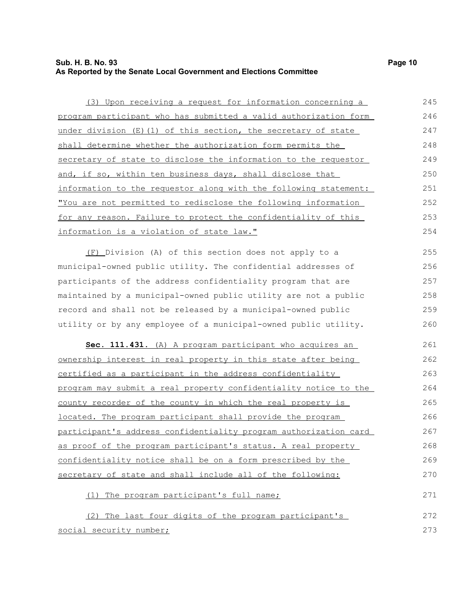### **Sub. H. B. No. 93 Page 10 As Reported by the Senate Local Government and Elections Committee**

| (3) Upon receiving a request for information concerning a        | 245 |
|------------------------------------------------------------------|-----|
| program participant who has submitted a valid authorization form | 246 |
| under division (E) (1) of this section, the secretary of state   | 247 |
| shall determine whether the authorization form permits the       | 248 |
| secretary of state to disclose the information to the requestor  | 249 |
| and, if so, within ten business days, shall disclose that        | 250 |
| information to the requestor along with the following statement: | 251 |
| "You are not permitted to redisclose the following information   | 252 |
| for any reason. Failure to protect the confidentiality of this   | 253 |
| information is a violation of state law."                        | 254 |
| (F) Division (A) of this section does not apply to a             | 255 |
| municipal-owned public utility. The confidential addresses of    | 256 |
| participants of the address confidentiality program that are     | 257 |
| maintained by a municipal-owned public utility are not a public  | 258 |
| record and shall not be released by a municipal-owned public     | 259 |
| utility or by any employee of a municipal-owned public utility.  | 260 |
| Sec. 111.431. (A) A program participant who acquires an          | 261 |
| ownership interest in real property in this state after being    | 262 |
| certified as a participant in the address confidentiality        | 263 |
| program may submit a real property confidentiality notice to the | 264 |
| county recorder of the county in which the real property is      | 265 |
| located. The program participant shall provide the program       | 266 |
| participant's address confidentiality program authorization card | 267 |
| as proof of the program participant's status. A real property    | 268 |
| confidentiality notice shall be on a form prescribed by the      | 269 |
| secretary of state and shall include all of the following:       | 270 |
| (1) The program participant's full name;                         | 271 |
| The last four digits of the program participant's<br>(2)         | 272 |
| social security number;                                          | 273 |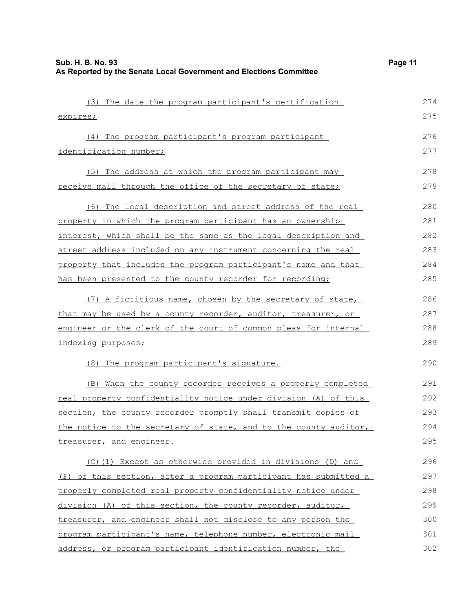| (3) The date the program participant's certification             | 274 |
|------------------------------------------------------------------|-----|
| expires;                                                         | 275 |
| (4) The program participant's program participant                | 276 |
| identification number;                                           | 277 |
|                                                                  |     |
| (5) The address at which the program participant may             | 278 |
| receive mail through the office of the secretary of state;       | 279 |
| (6) The legal description and street address of the real         | 280 |
| property in which the program participant has an ownership       | 281 |
| interest, which shall be the same as the legal description and   | 282 |
| street address included on any instrument concerning the real    | 283 |
| property that includes the program participant's name and that   | 284 |
| has been presented to the county recorder for recording;         | 285 |
| (7) A fictitious name, chosen by the secretary of state,         | 286 |
| that may be used by a county recorder, auditor, treasurer, or    | 287 |
| engineer or the clerk of the court of common pleas for internal  | 288 |
| indexing purposes;                                               | 289 |
|                                                                  | 290 |
| (8) The program participant's signature.                         |     |
| (B) When the county recorder receives a properly completed       | 291 |
| real property confidentiality notice under division (A) of this  | 292 |
| section, the county recorder promptly shall transmit copies of   | 293 |
| the notice to the secretary of state, and to the county auditor, | 294 |
| treasurer, and engineer.                                         | 295 |
| (C)(1) Except as otherwise provided in divisions (D) and         | 296 |
| (F) of this section, after a program participant has submitted a | 297 |
| properly completed real property confidentiality notice under    | 298 |
|                                                                  |     |
| division (A) of this section, the county recorder, auditor,      | 299 |
| treasurer, and engineer shall not disclose to any person the     | 300 |
| program participant's name, telephone number, electronic mail    | 301 |
| address, or program participant identification number, the       | 302 |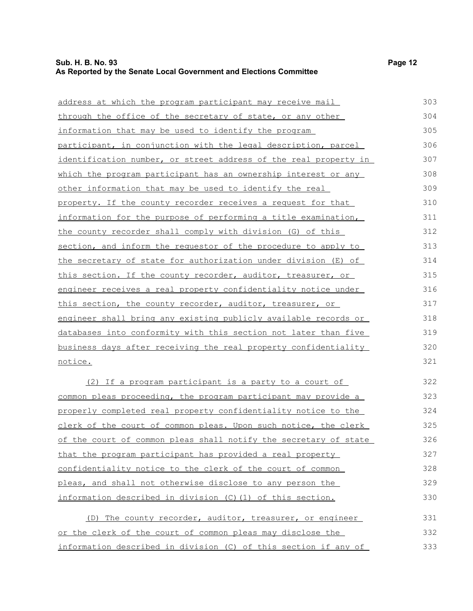| address at which the program participant may receive mail               | 303 |
|-------------------------------------------------------------------------|-----|
| through the office of the secretary of state, or any other              | 304 |
| information that may be used to identify the program                    | 305 |
| <u>participant, in conjunction with the legal description, parcel</u>   | 306 |
| <u>identification number, or street address of the real property in</u> | 307 |
| <u>which the program participant has an ownership interest or any </u>  | 308 |
| other information that may be used to identify the real                 | 309 |
| <u>property. If the county recorder receives a request for that </u>    | 310 |
| information for the purpose of performing a title examination,          | 311 |
| the county recorder shall comply with division (G) of this              | 312 |
| section, and inform the requestor of the procedure to apply to          | 313 |
| <u>the secretary of state for authorization under division (E) of </u>  | 314 |
| <u>this section. If the county recorder, auditor, treasurer, or </u>    | 315 |
| engineer receives a real property confidentiality notice under          | 316 |
| <u>this section, the county recorder, auditor, treasurer, or </u>       | 317 |
| engineer shall bring any existing publicly available records or         | 318 |
| databases into conformity with this section not later than five         | 319 |
| <u>business days after receiving the real property confidentiality </u> | 320 |
| <u>notice.</u>                                                          | 321 |
| (2) If a program participant is a party to a court of                   | 322 |
| <u>common pleas proceeding, the program participant may provide a</u>   | 323 |
| <u>properly completed real property confidentiality notice to the</u>   | 324 |
| clerk of the court of common pleas. Upon such notice, the clerk         | 325 |
| of the court of common pleas shall notify the secretary of state        | 326 |
| that the program participant has provided a real property               | 327 |
| confidentiality notice to the clerk of the court of common              | 328 |
| pleas, and shall not otherwise disclose to any person the               | 329 |
| information described in division (C) (1) of this section.              | 330 |
| (D) The county recorder, auditor, treasurer, or engineer                | 331 |
| or the clerk of the court of common pleas may disclose the              | 332 |

information described in division (C) of this section if any of 333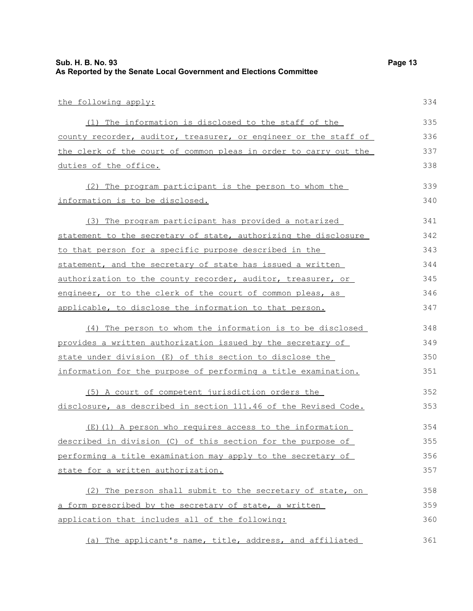| the following apply:                                                   | 334 |
|------------------------------------------------------------------------|-----|
| (1) The information is disclosed to the staff of the                   | 335 |
| county recorder, auditor, treasurer, or engineer or the staff of       | 336 |
| the clerk of the court of common pleas in order to carry out the       | 337 |
| <u>duties of the office.</u>                                           | 338 |
| (2) The program participant is the person to whom the                  | 339 |
| information is to be disclosed.                                        | 340 |
| (3) The program participant has provided a notarized                   | 341 |
| statement to the secretary of state, authorizing the disclosure        | 342 |
| <u>to that person for a specific purpose described in the </u>         | 343 |
| statement, and the secretary of state has issued a written             | 344 |
| <u>authorization to the county recorder, auditor, treasurer, or </u>   | 345 |
| engineer, or to the clerk of the court of common pleas, as             | 346 |
| applicable, to disclose the information to that person.                | 347 |
| (4) The person to whom the information is to be disclosed              | 348 |
| <u>provides a written authorization issued by the secretary of </u>    | 349 |
| state under division (E) of this section to disclose the               | 350 |
| <u>information for the purpose of performing a title examination.</u>  | 351 |
| (5) A court of competent jurisdiction orders the                       | 352 |
| <u>disclosure, as described in section 111.46 of the Revised Code.</u> | 353 |
| (E)(1) A person who requires access to the information                 | 354 |
| described in division (C) of this section for the purpose of           | 355 |
| performing a title examination may apply to the secretary of           | 356 |
| state for a written authorization.                                     | 357 |
| (2) The person shall submit to the secretary of state, on              | 358 |
| a form prescribed by the secretary of state, a written                 | 359 |
| application that includes all of the following:                        | 360 |
|                                                                        |     |

(a) The applicant's name, title, address, and affiliated 361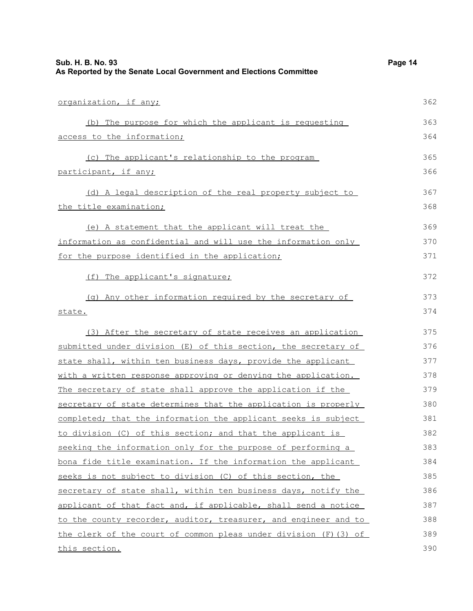| Sub. H. B. No. 93<br>As Reported by the Senate Local Government and Elections Committee | Page 14 |
|-----------------------------------------------------------------------------------------|---------|
|                                                                                         |         |
| organization, if any;                                                                   | 362     |
| (b) The purpose for which the applicant is requesting                                   | 363     |
| access to the information;                                                              | 364     |
| (c) The applicant's relationship to the program                                         | 365     |
| participant, if any;                                                                    | 366     |
| (d) A legal description of the real property subject to                                 | 367     |
| the title examination;                                                                  | 368     |
| (e) A statement that the applicant will treat the                                       | 369     |
| information as confidential and will use the information only                           | 370     |
| for the purpose identified in the application;                                          | 371     |
| (f) The applicant's signature;                                                          | 372     |
| (g) Any other information required by the secretary of                                  | 373     |
| state.                                                                                  | 374     |
| (3) After the secretary of state receives an application                                | 375     |
| submitted under division (E) of this section, the secretary of                          | 376     |
| state shall, within ten business days, provide the applicant                            | 377     |
| with a written response approving or denying the application.                           | 378     |
| The secretary of state shall approve the application if the                             | 379     |
| secretary of state determines that the application is properly                          | 380     |
| completed; that the information the applicant seeks is subject                          | 381     |
| to division (C) of this section; and that the applicant is                              | 382     |
| seeking the information only for the purpose of performing a                            | 383     |
| bona fide title examination. If the information the applicant                           | 384     |
| seeks is not subject to division (C) of this section, the                               | 385     |
| secretary of state shall, within ten business days, notify the                          | 386     |
| applicant of that fact and, if applicable, shall send a notice                          | 387     |
| to the county recorder, auditor, treasurer, and engineer and to                         | 388     |
| the clerk of the court of common pleas under division (F) (3) of                        | 389     |
| this section.                                                                           | 390     |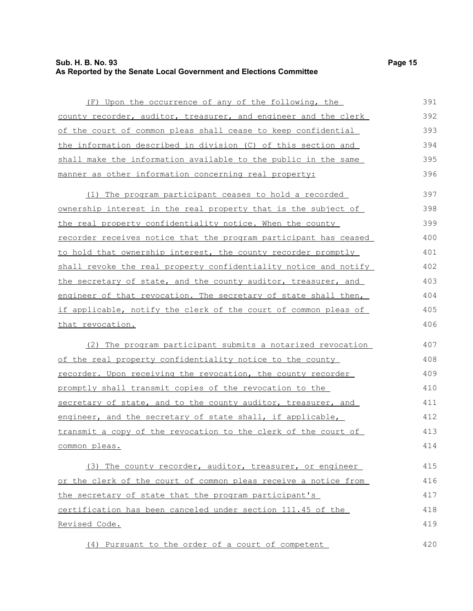### **Sub. H. B. No. 93 Page 15 As Reported by the Senate Local Government and Elections Committee**

| (F) Upon the occurrence of any of the following, the                  | 391 |
|-----------------------------------------------------------------------|-----|
| county recorder, auditor, treasurer, and engineer and the clerk       | 392 |
| of the court of common pleas shall cease to keep confidential         | 393 |
| the information described in division (C) of this section and         | 394 |
| shall make the information available to the public in the same        | 395 |
| manner as other information concerning real property:                 | 396 |
|                                                                       |     |
| (1) The program participant ceases to hold a recorded                 | 397 |
| <u>ownership interest in the real property that is the subject of</u> | 398 |
| the real property confidentiality notice. When the county             | 399 |
| recorder receives notice that the program participant has ceased      | 400 |
| to hold that ownership interest, the county recorder promptly         | 401 |
| shall revoke the real property confidentiality notice and notify      | 402 |
| the secretary of state, and the county auditor, treasurer, and        | 403 |
| engineer of that revocation. The secretary of state shall then,       | 404 |
| if applicable, notify the clerk of the court of common pleas of       | 405 |
| <u>that revocation.</u>                                               | 406 |
| (2) The program participant submits a notarized revocation            | 407 |
| of the real property confidentiality notice to the county             | 408 |
| recorder. Upon receiving the revocation, the county recorder          | 409 |
| promptly shall transmit copies of the revocation to the               | 410 |
| secretary of state, and to the county auditor, treasurer, and         | 411 |
| engineer, and the secretary of state shall, if applicable,            | 412 |
| transmit a copy of the revocation to the clerk of the court of        | 413 |
| common pleas.                                                         | 414 |
| (3) The county recorder, auditor, treasurer, or engineer              | 415 |
| or the clerk of the court of common pleas receive a notice from       | 416 |
| the secretary of state that the program participant's                 | 417 |
| certification has been canceled under section 111.45 of the           | 418 |
| <u>Revised Code.</u>                                                  | 419 |
|                                                                       |     |

(4) Pursuant to the order of a court of competent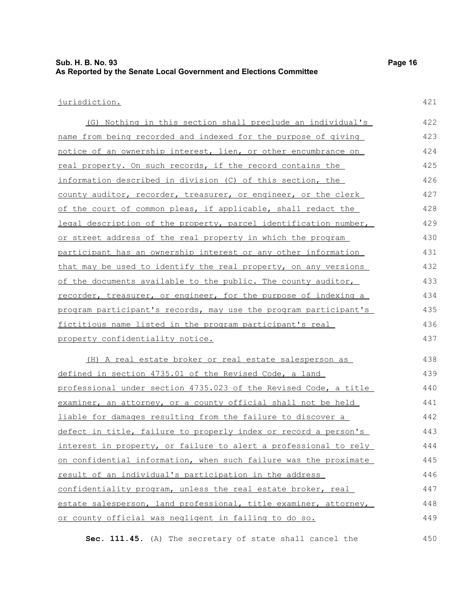### **Sub. H. B. No. 93 Page 16 As Reported by the Senate Local Government and Elections Committee**

## jurisdiction.

| (G) Nothing in this section shall preclude an individual's              | 422 |
|-------------------------------------------------------------------------|-----|
| name from being recorded and indexed for the purpose of giving          | 423 |
| notice of an ownership interest, lien, or other encumbrance on          | 424 |
| real property. On such records, if the record contains the              | 425 |
| information described in division (C) of this section, the              | 426 |
| county auditor, recorder, treasurer, or engineer, or the clerk          | 427 |
| of the court of common pleas, if applicable, shall redact the           | 428 |
| legal description of the property, parcel identification number,        | 429 |
| or street address of the real property in which the program             | 430 |
| participant has an ownership interest or any other information          | 431 |
| that may be used to identify the real property, on any versions         | 432 |
| of the documents available to the public. The county auditor,           | 433 |
| recorder, treasurer, or engineer, for the purpose of indexing a         | 434 |
| program participant's records, may use the program participant's        | 435 |
| fictitious name listed in the program participant's real                | 436 |
| property confidentiality notice.                                        | 437 |
| (H) A real estate broker or real estate salesperson as                  | 438 |
| defined in section 4735.01 of the Revised Code, a land                  | 439 |
| professional under section 4735.023 of the Revised Code, a title        | 440 |
| examiner, an attorney, or a county official shall not be held           | 441 |
| liable for damages resulting from the failure to discover a             | 442 |
| defect in title, failure to properly index or record a person's         | 443 |
| <u>interest in property, or failure to alert a professional to rely</u> | 444 |
| on confidential information, when such failure was the proximate        | 445 |
| result of an individual's participation in the address                  | 446 |
| confidentiality program, unless the real estate broker, real            | 447 |
| estate salesperson, land professional, title examiner, attorney,        | 448 |
| or county official was negligent in failing to do so.                   | 449 |
|                                                                         |     |

**Sec. 111.45.** (A) The secretary of state shall cancel the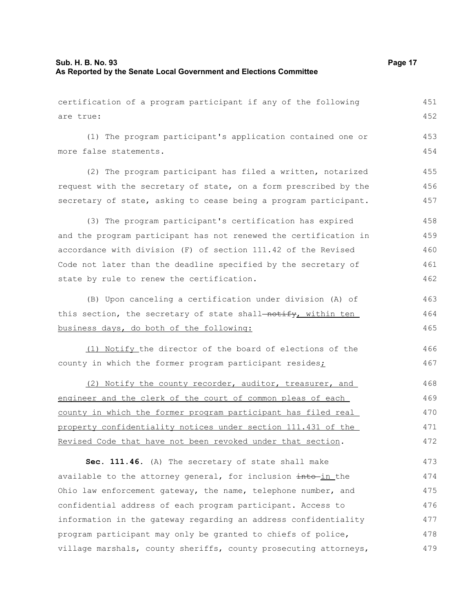certification of a program participant if any of the following

451

| are true:                                                        | 452 |
|------------------------------------------------------------------|-----|
| (1) The program participant's application contained one or       | 453 |
| more false statements.                                           | 454 |
| (2) The program participant has filed a written, notarized       | 455 |
| request with the secretary of state, on a form prescribed by the | 456 |
| secretary of state, asking to cease being a program participant. | 457 |
| (3) The program participant's certification has expired          | 458 |
| and the program participant has not renewed the certification in | 459 |
| accordance with division (F) of section 111.42 of the Revised    | 460 |
| Code not later than the deadline specified by the secretary of   | 461 |
| state by rule to renew the certification.                        | 462 |
| (B) Upon canceling a certification under division (A) of         | 463 |
| this section, the secretary of state shall-notify, within ten    | 464 |
| business days, do both of the following:                         | 465 |
| (1) Notify the director of the board of elections of the         | 466 |
| county in which the former program participant resides;          | 467 |
| (2) Notify the county recorder, auditor, treasurer, and          | 468 |
| engineer and the clerk of the court of common pleas of each      | 469 |
| county in which the former program participant has filed real    | 470 |
| property confidentiality notices under section 111.431 of the    | 471 |
| Revised Code that have not been revoked under that section.      | 472 |
| Sec. 111.46. (A) The secretary of state shall make               | 473 |
| available to the attorney general, for inclusion into-in the     | 474 |
| Ohio law enforcement gateway, the name, telephone number, and    | 475 |
| confidential address of each program participant. Access to      | 476 |
| information in the gateway regarding an address confidentiality  | 477 |
| program participant may only be granted to chiefs of police,     | 478 |

village marshals, county sheriffs, county prosecuting attorneys, 479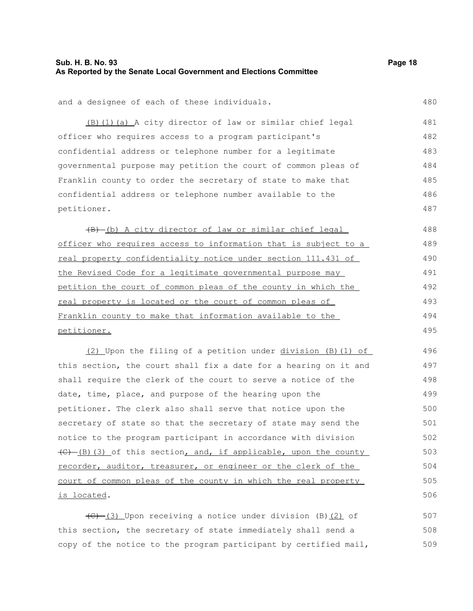#### **Sub. H. B. No. 93 Page 18 As Reported by the Senate Local Government and Elections Committee**

480

and a designee of each of these individuals.

(B)(1)(a) A city director of law or similar chief legal officer who requires access to a program participant's confidential address or telephone number for a legitimate governmental purpose may petition the court of common pleas of Franklin county to order the secretary of state to make that confidential address or telephone number available to the petitioner. 481 482 483 484 485 486 487

(B) (b) A city director of law or similar chief legal officer who requires access to information that is subject to a real property confidentiality notice under section 111.431 of the Revised Code for a legitimate governmental purpose may petition the court of common pleas of the county in which the real property is located or the court of common pleas of Franklin county to make that information available to the petitioner. 488 489 490 491 492 493 494 495

(2) Upon the filing of a petition under division (B)(1) of this section, the court shall fix a date for a hearing on it and shall require the clerk of the court to serve a notice of the date, time, place, and purpose of the hearing upon the petitioner. The clerk also shall serve that notice upon the secretary of state so that the secretary of state may send the notice to the program participant in accordance with division  $\left(\frac{C}{C}\right)$  (3) of this section, and, if applicable, upon the county recorder, auditor, treasurer, or engineer or the clerk of the court of common pleas of the county in which the real property is located. 496 497 498 499 500 501 502 503 504 505 506

(C) (3) Upon receiving a notice under division (B)(2) of this section, the secretary of state immediately shall send a copy of the notice to the program participant by certified mail, 507 508 509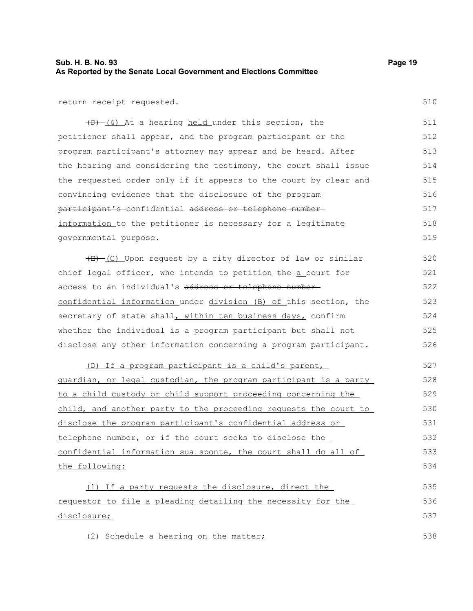### **Sub. H. B. No. 93 Page 19 As Reported by the Senate Local Government and Elections Committee**

return receipt requested.

(D) (4) At a hearing held under this section, the petitioner shall appear, and the program participant or the program participant's attorney may appear and be heard. After the hearing and considering the testimony, the court shall issue the requested order only if it appears to the court by clear and convincing evidence that the disclosure of the programparticipant's confidential address or telephone number information to the petitioner is necessary for a legitimate governmental purpose. 511 512 513 514 515 516 517 518 519

(E) (C) Upon request by a city director of law or similar chief legal officer, who intends to petition the a court for access to an individual's address or telephone numberconfidential information under division (B) of this section, the secretary of state shall, within ten business days, confirm whether the individual is a program participant but shall not disclose any other information concerning a program participant. 520 521 522 523 524 525 526

(D) If a program participant is a child's parent, guardian, or legal custodian, the program participant is a party to a child custody or child support proceeding concerning the child, and another party to the proceeding requests the court to disclose the program participant's confidential address or telephone number, or if the court seeks to disclose the confidential information sua sponte, the court shall do all of the following: 527 528 529 530 531 532 533 534

(1) If a party requests the disclosure, direct the requestor to file a pleading detailing the necessity for the disclosure; 535 536 537

(2) Schedule a hearing on the matter;

510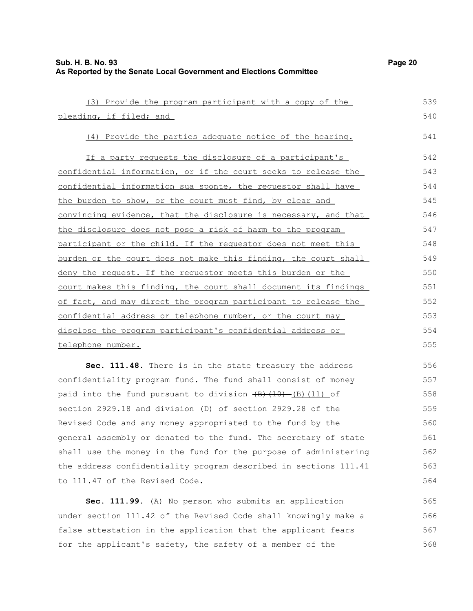| (3) Provide the program participant with a copy of the                      | 539 |
|-----------------------------------------------------------------------------|-----|
| pleading, if filed; and                                                     | 540 |
| (4) Provide the parties adequate notice of the hearing.                     | 541 |
| If a party requests the disclosure of a participant's                       | 542 |
| confidential information, or if the court seeks to release the              | 543 |
| confidential information sua sponte, the requestor shall have               | 544 |
| the burden to show, or the court must find, by clear and                    | 545 |
| convincing evidence, that the disclosure is necessary, and that             | 546 |
| the disclosure does not pose a risk of harm to the program                  | 547 |
| participant or the child. If the requestor does not meet this               | 548 |
| burden or the court does not make this finding, the court shall             | 549 |
| deny the request. If the requestor meets this burden or the                 | 550 |
| court makes this finding, the court shall document its findings             | 551 |
| of fact, and may direct the program participant to release the              | 552 |
| confidential address or telephone number, or the court may                  | 553 |
| disclose the program participant's confidential address or                  | 554 |
| telephone number.                                                           | 555 |
| Sec. 111.48. There is in the state treasury the address                     | 556 |
| confidentiality program fund. The fund shall consist of money               | 557 |
| paid into the fund pursuant to division $\overline{(B) (10) - (B) (11)}$ of | 558 |
| section 2929.18 and division (D) of section 2929.28 of the                  | 559 |
| Revised Code and any money appropriated to the fund by the                  | 560 |
| general assembly or donated to the fund. The secretary of state             | 561 |
| shall use the money in the fund for the purpose of administering            | 562 |
| the address confidentiality program described in sections 111.41            | 563 |
| to 111.47 of the Revised Code.                                              | 564 |
| Sec. 111.99. (A) No person who submits an application                       | 565 |

under section 111.42 of the Revised Code shall knowingly make a false attestation in the application that the applicant fears for the applicant's safety, the safety of a member of the 566 567 568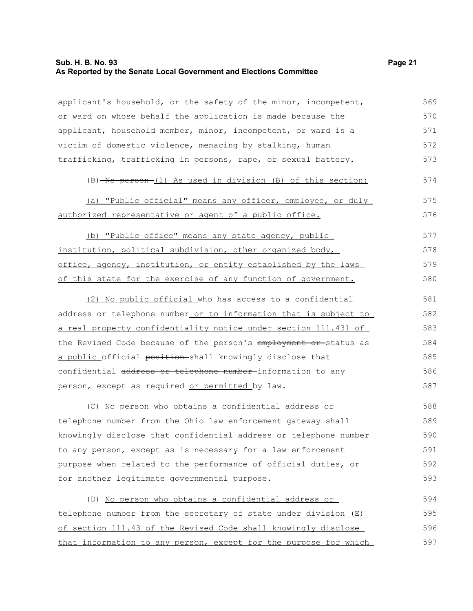### **Sub. H. B. No. 93** Page 21 **As Reported by the Senate Local Government and Elections Committee**

| applicant's household, or the safety of the minor, incompetent,  | 569 |
|------------------------------------------------------------------|-----|
| or ward on whose behalf the application is made because the      | 570 |
| applicant, household member, minor, incompetent, or ward is a    | 571 |
| victim of domestic violence, menacing by stalking, human         | 572 |
| trafficking, trafficking in persons, rape, or sexual battery.    | 573 |
| (B) No person (1) As used in division (B) of this section:       | 574 |
| (a) "Public official" means any officer, employee, or duly       | 575 |
| authorized representative or agent of a public office.           | 576 |
| (b) "Public office" means any state agency, public               | 577 |
| institution, political subdivision, other organized body,        | 578 |
| office, agency, institution, or entity established by the laws   | 579 |
| of this state for the exercise of any function of government.    | 580 |
| (2) No public official who has access to a confidential          | 581 |
| address or telephone number or to information that is subject to | 582 |
| a real property confidentiality notice under section 111.431 of  | 583 |
| the Revised Code because of the person's employment or status as | 584 |
| a public official position shall knowingly disclose that         | 585 |
| confidential address or telephone number-information to any      | 586 |
| person, except as required or permitted by law.                  | 587 |
| (C) No person who obtains a confidential address or              | 588 |
| telephone number from the Ohio law enforcement gateway shall     | 589 |
| knowingly disclose that confidential address or telephone number | 590 |
| to any person, except as is necessary for a law enforcement      | 591 |
| purpose when related to the performance of official duties, or   | 592 |
| for another legitimate governmental purpose.                     | 593 |
| (D) No person who obtains a confidential address or              | 594 |
| telephone number from the secretary of state under division (E)  | 595 |
| of section 111.43 of the Revised Code shall knowingly disclose   | 596 |
| that information to any person, except for the purpose for which | 597 |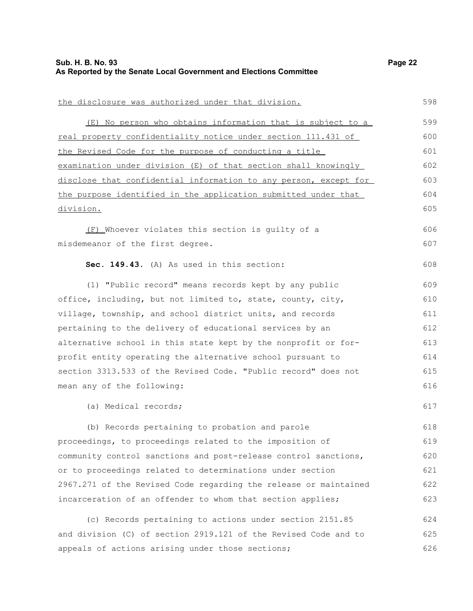| the disclosure was authorized under that division.               | 598 |
|------------------------------------------------------------------|-----|
| (E) No person who obtains information that is subject to a       | 599 |
| real property confidentiality notice under section 111.431 of    | 600 |
| the Revised Code for the purpose of conducting a title           | 601 |
| examination under division (E) of that section shall knowingly   | 602 |
| disclose that confidential information to any person, except for | 603 |
| the purpose identified in the application submitted under that   | 604 |
| division.                                                        | 605 |
| (F) Whoever violates this section is quilty of a                 | 606 |
| misdemeanor of the first degree.                                 | 607 |
| Sec. 149.43. (A) As used in this section:                        | 608 |
| (1) "Public record" means records kept by any public             | 609 |
| office, including, but not limited to, state, county, city,      | 610 |
| village, township, and school district units, and records        | 611 |
| pertaining to the delivery of educational services by an         | 612 |
| alternative school in this state kept by the nonprofit or for-   | 613 |
| profit entity operating the alternative school pursuant to       | 614 |
| section 3313.533 of the Revised Code. "Public record" does not   | 615 |
| mean any of the following:                                       | 616 |
| (a) Medical records;                                             | 617 |
| (b) Records pertaining to probation and parole                   | 618 |
| proceedings, to proceedings related to the imposition of         | 619 |
| community control sanctions and post-release control sanctions,  | 620 |
| or to proceedings related to determinations under section        | 621 |
| 2967.271 of the Revised Code regarding the release or maintained | 622 |
| incarceration of an offender to whom that section applies;       | 623 |
| (c) Records pertaining to actions under section 2151.85          | 624 |
| and division (C) of section 2919.121 of the Revised Code and to  | 625 |
| appeals of actions arising under those sections;                 | 626 |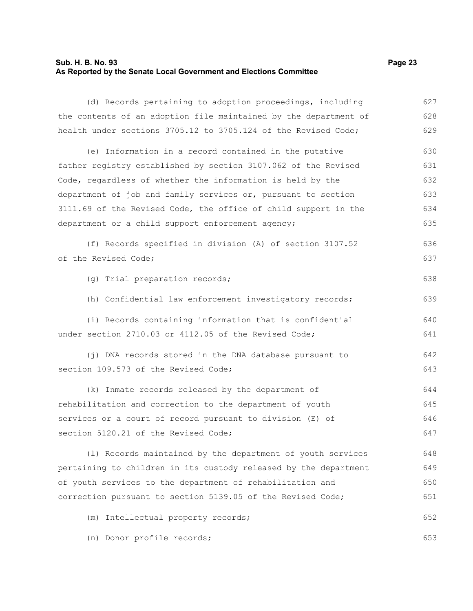#### **Sub. H. B. No. 93 Page 23 As Reported by the Senate Local Government and Elections Committee**

(d) Records pertaining to adoption proceedings, including the contents of an adoption file maintained by the department of health under sections 3705.12 to 3705.124 of the Revised Code; (e) Information in a record contained in the putative father registry established by section 3107.062 of the Revised Code, regardless of whether the information is held by the department of job and family services or, pursuant to section 3111.69 of the Revised Code, the office of child support in the department or a child support enforcement agency; (f) Records specified in division (A) of section 3107.52 of the Revised Code; (g) Trial preparation records; (h) Confidential law enforcement investigatory records; (i) Records containing information that is confidential under section 2710.03 or 4112.05 of the Revised Code; (j) DNA records stored in the DNA database pursuant to section 109.573 of the Revised Code: (k) Inmate records released by the department of rehabilitation and correction to the department of youth services or a court of record pursuant to division (E) of 627 628 629 630 631 632 633 634 635 636 637 638 639 640 641 642 643 644 645 646

section 5120.21 of the Revised Code;

(l) Records maintained by the department of youth services pertaining to children in its custody released by the department of youth services to the department of rehabilitation and correction pursuant to section 5139.05 of the Revised Code; 648 649 650 651

(m) Intellectual property records; 652

(n) Donor profile records;

653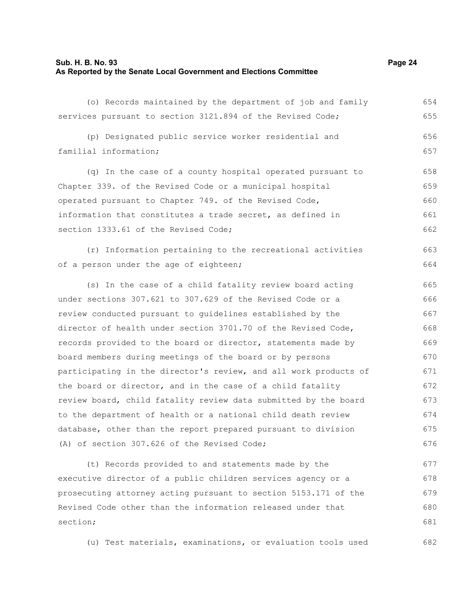### **Sub. H. B. No. 93 Page 24 As Reported by the Senate Local Government and Elections Committee**

679 680 681

| (o) Records maintained by the department of job and family       | 654 |
|------------------------------------------------------------------|-----|
| services pursuant to section 3121.894 of the Revised Code;       | 655 |
| (p) Designated public service worker residential and             | 656 |
| familial information;                                            | 657 |
| (q) In the case of a county hospital operated pursuant to        | 658 |
| Chapter 339. of the Revised Code or a municipal hospital         | 659 |
| operated pursuant to Chapter 749. of the Revised Code,           | 660 |
| information that constitutes a trade secret, as defined in       | 661 |
| section 1333.61 of the Revised Code;                             | 662 |
| (r) Information pertaining to the recreational activities        | 663 |
| of a person under the age of eighteen;                           | 664 |
| (s) In the case of a child fatality review board acting          | 665 |
| under sections 307.621 to 307.629 of the Revised Code or a       | 666 |
| review conducted pursuant to guidelines established by the       | 667 |
| director of health under section 3701.70 of the Revised Code,    | 668 |
| records provided to the board or director, statements made by    | 669 |
| board members during meetings of the board or by persons         | 670 |
| participating in the director's review, and all work products of | 671 |
| the board or director, and in the case of a child fatality       | 672 |
| review board, child fatality review data submitted by the board  | 673 |
| to the department of health or a national child death review     | 674 |
| database, other than the report prepared pursuant to division    | 675 |
| (A) of section 307.626 of the Revised Code;                      | 676 |
| (t) Records provided to and statements made by the               | 677 |
| executive director of a public children services agency or a     | 678 |
|                                                                  |     |

section;

prosecuting attorney acting pursuant to section 5153.171 of the

Revised Code other than the information released under that

(u) Test materials, examinations, or evaluation tools used 682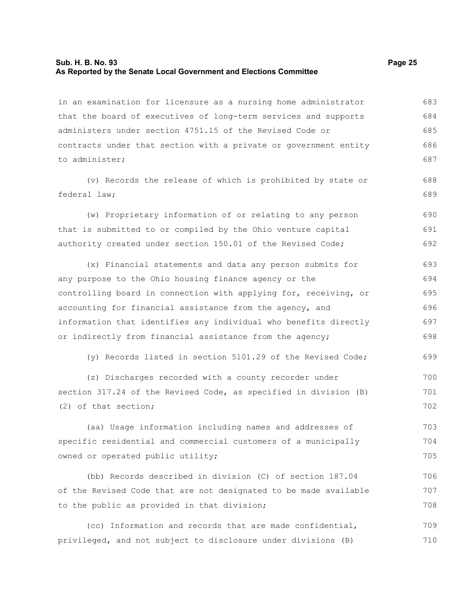#### **Sub. H. B. No. 93 Page 25 As Reported by the Senate Local Government and Elections Committee**

in an examination for licensure as a nursing home administrator that the board of executives of long-term services and supports administers under section 4751.15 of the Revised Code or contracts under that section with a private or government entity to administer; 683 684 685 686 687

(v) Records the release of which is prohibited by state or federal law;

(w) Proprietary information of or relating to any person that is submitted to or compiled by the Ohio venture capital authority created under section 150.01 of the Revised Code; 690 691 692

(x) Financial statements and data any person submits for any purpose to the Ohio housing finance agency or the controlling board in connection with applying for, receiving, or accounting for financial assistance from the agency, and information that identifies any individual who benefits directly or indirectly from financial assistance from the agency; 693 694 695 696 697 698

(y) Records listed in section 5101.29 of the Revised Code; 699

(z) Discharges recorded with a county recorder under section 317.24 of the Revised Code, as specified in division (B) (2) of that section; 700 701 702

(aa) Usage information including names and addresses of specific residential and commercial customers of a municipally owned or operated public utility; 703 704 705

(bb) Records described in division (C) of section 187.04 of the Revised Code that are not designated to be made available to the public as provided in that division; 706 707 708

(cc) Information and records that are made confidential, privileged, and not subject to disclosure under divisions (B) 709 710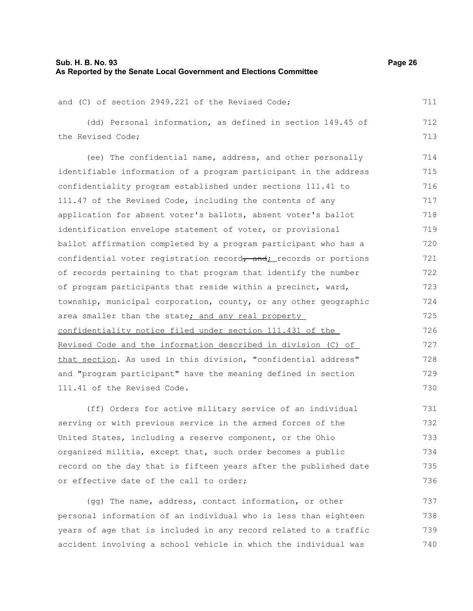| and (C) of section 2949.221 of the Revised Code;                             | 711 |
|------------------------------------------------------------------------------|-----|
| (dd) Personal information, as defined in section 149.45 of                   | 712 |
| the Revised Code;                                                            | 713 |
| (ee) The confidential name, address, and other personally                    | 714 |
| identifiable information of a program participant in the address             | 715 |
| confidentiality program established under sections 111.41 to                 | 716 |
| 111.47 of the Revised Code, including the contents of any                    | 717 |
| application for absent voter's ballots, absent voter's ballot                | 718 |
| identification envelope statement of voter, or provisional                   | 719 |
| ballot affirmation completed by a program participant who has a              | 720 |
| confidential voter registration record <sub>7</sub> and; records or portions | 721 |
| of records pertaining to that program that identify the number               | 722 |
| of program participants that reside within a precinct, ward,                 | 723 |
| township, municipal corporation, county, or any other geographic             | 724 |
| area smaller than the state; and any real property                           | 725 |
| confidentiality notice filed under section 111.431 of the                    | 726 |
| Revised Code and the information described in division (C) of                | 727 |
| that section. As used in this division, "confidential address"               | 728 |
| and "program participant" have the meaning defined in section                | 729 |
| 111.41 of the Revised Code.                                                  | 730 |
| (ff) Orders for active military service of an individual                     | 731 |
|                                                                              |     |
| serving or with previous service in the armed forces of the                  | 732 |

serving or with previous service in the armed forces of the United States, including a reserve component, or the Ohio organized militia, except that, such order becomes a public record on the day that is fifteen years after the published date or effective date of the call to order; 733 734 735 736

(gg) The name, address, contact information, or other personal information of an individual who is less than eighteen years of age that is included in any record related to a traffic accident involving a school vehicle in which the individual was 737 738 739 740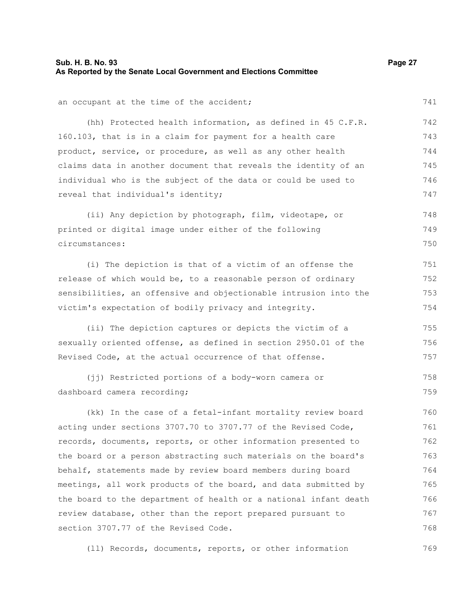### **Sub. H. B. No. 93 Page 27 As Reported by the Senate Local Government and Elections Committee**

an occupant at the time of the accident;

(hh) Protected health information, as defined in 45 C.F.R. 160.103, that is in a claim for payment for a health care product, service, or procedure, as well as any other health claims data in another document that reveals the identity of an individual who is the subject of the data or could be used to reveal that individual's identity; 742 743 744 745 746 747

(ii) Any depiction by photograph, film, videotape, or printed or digital image under either of the following circumstances: 748 749 750

(i) The depiction is that of a victim of an offense the release of which would be, to a reasonable person of ordinary sensibilities, an offensive and objectionable intrusion into the victim's expectation of bodily privacy and integrity.

(ii) The depiction captures or depicts the victim of a sexually oriented offense, as defined in section 2950.01 of the Revised Code, at the actual occurrence of that offense. 755 756 757

(jj) Restricted portions of a body-worn camera or dashboard camera recording; 758 759

(kk) In the case of a fetal-infant mortality review board acting under sections 3707.70 to 3707.77 of the Revised Code, records, documents, reports, or other information presented to the board or a person abstracting such materials on the board's behalf, statements made by review board members during board meetings, all work products of the board, and data submitted by the board to the department of health or a national infant death review database, other than the report prepared pursuant to section 3707.77 of the Revised Code. 760 761 762 763 764 765 766 767 768

(ll) Records, documents, reports, or other information

741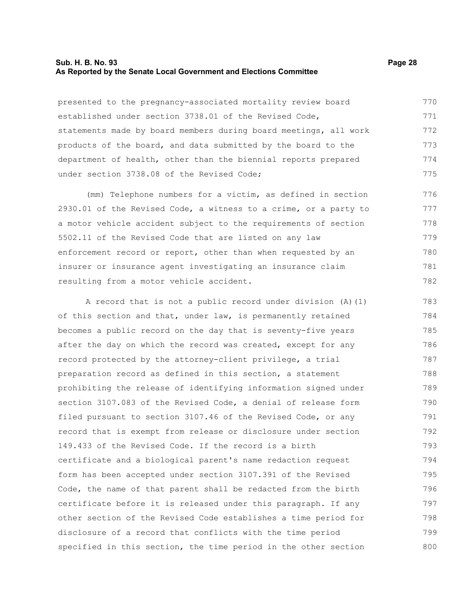#### **Sub. H. B. No. 93 Page 28 As Reported by the Senate Local Government and Elections Committee**

presented to the pregnancy-associated mortality review board established under section 3738.01 of the Revised Code, statements made by board members during board meetings, all work products of the board, and data submitted by the board to the department of health, other than the biennial reports prepared under section 3738.08 of the Revised Code; 770 771 772 773 774 775

(mm) Telephone numbers for a victim, as defined in section 2930.01 of the Revised Code, a witness to a crime, or a party to a motor vehicle accident subject to the requirements of section 5502.11 of the Revised Code that are listed on any law enforcement record or report, other than when requested by an insurer or insurance agent investigating an insurance claim resulting from a motor vehicle accident. 776 777 778 779 780 781 782

A record that is not a public record under division (A)(1) of this section and that, under law, is permanently retained becomes a public record on the day that is seventy-five years after the day on which the record was created, except for any record protected by the attorney-client privilege, a trial preparation record as defined in this section, a statement prohibiting the release of identifying information signed under section 3107.083 of the Revised Code, a denial of release form filed pursuant to section 3107.46 of the Revised Code, or any record that is exempt from release or disclosure under section 149.433 of the Revised Code. If the record is a birth certificate and a biological parent's name redaction request form has been accepted under section 3107.391 of the Revised Code, the name of that parent shall be redacted from the birth certificate before it is released under this paragraph. If any other section of the Revised Code establishes a time period for disclosure of a record that conflicts with the time period specified in this section, the time period in the other section 783 784 785 786 787 788 789 790 791 792 793 794 795 796 797 798 799 800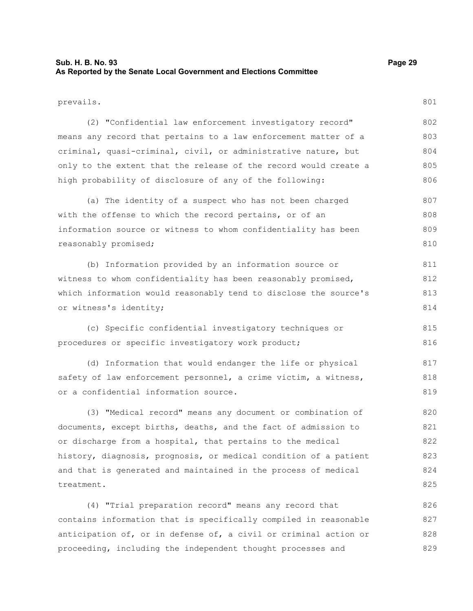### **Sub. H. B. No. 93 Page 29 As Reported by the Senate Local Government and Elections Committee**

#### prevails.

(2) "Confidential law enforcement investigatory record" means any record that pertains to a law enforcement matter of a criminal, quasi-criminal, civil, or administrative nature, but only to the extent that the release of the record would create a high probability of disclosure of any of the following: 802 803 804 805 806

(a) The identity of a suspect who has not been charged with the offense to which the record pertains, or of an information source or witness to whom confidentiality has been reasonably promised; 807 808 809 810

(b) Information provided by an information source or witness to whom confidentiality has been reasonably promised, which information would reasonably tend to disclose the source's or witness's identity; 811 812 813 814

(c) Specific confidential investigatory techniques or procedures or specific investigatory work product; 815 816

(d) Information that would endanger the life or physical safety of law enforcement personnel, a crime victim, a witness, or a confidential information source. 817 818 819

(3) "Medical record" means any document or combination of documents, except births, deaths, and the fact of admission to or discharge from a hospital, that pertains to the medical history, diagnosis, prognosis, or medical condition of a patient and that is generated and maintained in the process of medical treatment. 820 821 822 823 824 825

(4) "Trial preparation record" means any record that contains information that is specifically compiled in reasonable anticipation of, or in defense of, a civil or criminal action or proceeding, including the independent thought processes and 826 827 828 829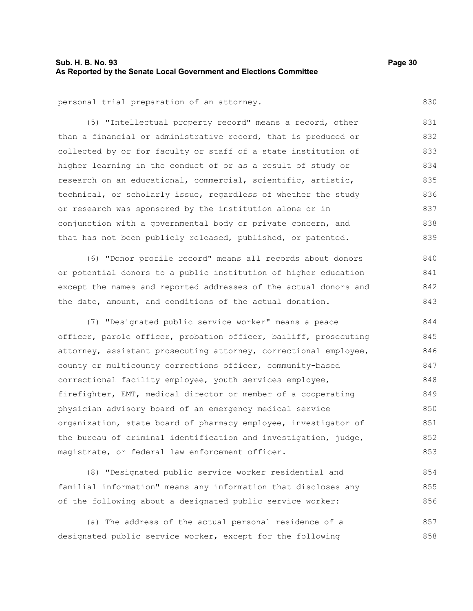### **Sub. H. B. No. 93 Page 30 As Reported by the Senate Local Government and Elections Committee**

personal trial preparation of an attorney.

(5) "Intellectual property record" means a record, other than a financial or administrative record, that is produced or collected by or for faculty or staff of a state institution of higher learning in the conduct of or as a result of study or research on an educational, commercial, scientific, artistic, technical, or scholarly issue, regardless of whether the study or research was sponsored by the institution alone or in conjunction with a governmental body or private concern, and that has not been publicly released, published, or patented. 831 832 833 834 835 836 837 838 839

(6) "Donor profile record" means all records about donors or potential donors to a public institution of higher education except the names and reported addresses of the actual donors and the date, amount, and conditions of the actual donation. 840 841 842 843

(7) "Designated public service worker" means a peace officer, parole officer, probation officer, bailiff, prosecuting attorney, assistant prosecuting attorney, correctional employee, county or multicounty corrections officer, community-based correctional facility employee, youth services employee, firefighter, EMT, medical director or member of a cooperating physician advisory board of an emergency medical service organization, state board of pharmacy employee, investigator of the bureau of criminal identification and investigation, judge, magistrate, or federal law enforcement officer. 844 845 846 847 848 849 850 851 852 853

(8) "Designated public service worker residential and familial information" means any information that discloses any of the following about a designated public service worker: 854 855 856

(a) The address of the actual personal residence of a designated public service worker, except for the following 857 858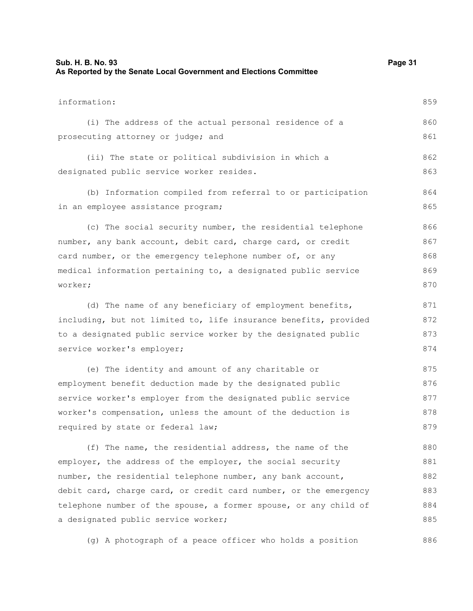| As Reported by the Senate Local Government and Elections Committee |     |
|--------------------------------------------------------------------|-----|
| information:                                                       | 859 |
| (i) The address of the actual personal residence of a              | 860 |
| prosecuting attorney or judge; and                                 | 861 |
| (ii) The state or political subdivision in which a                 | 862 |
| designated public service worker resides.                          | 863 |
| (b) Information compiled from referral to or participation         | 864 |
| in an employee assistance program;                                 | 865 |
| (c) The social security number, the residential telephone          | 866 |
| number, any bank account, debit card, charge card, or credit       | 867 |
| card number, or the emergency telephone number of, or any          | 868 |
| medical information pertaining to, a designated public service     | 869 |
| worker;                                                            | 870 |
| (d) The name of any beneficiary of employment benefits,            | 871 |
| including, but not limited to, life insurance benefits, provided   | 872 |
| to a designated public service worker by the designated public     | 873 |
| service worker's employer;                                         | 874 |
| (e) The identity and amount of any charitable or                   | 875 |
| employment benefit deduction made by the designated public         | 876 |
| service worker's employer from the designated public service       | 877 |
| worker's compensation, unless the amount of the deduction is       | 878 |
| required by state or federal law;                                  | 879 |
| (f) The name, the residential address, the name of the             | 880 |
| employer, the address of the employer, the social security         | 881 |
| number, the residential telephone number, any bank account,        | 882 |
| debit card, charge card, or credit card number, or the emergency   | 883 |
| telephone number of the spouse, a former spouse, or any child of   | 884 |
| a designated public service worker;                                | 885 |

(g) A photograph of a peace officer who holds a position 886

**Sub. H. B. No. 93** Page 31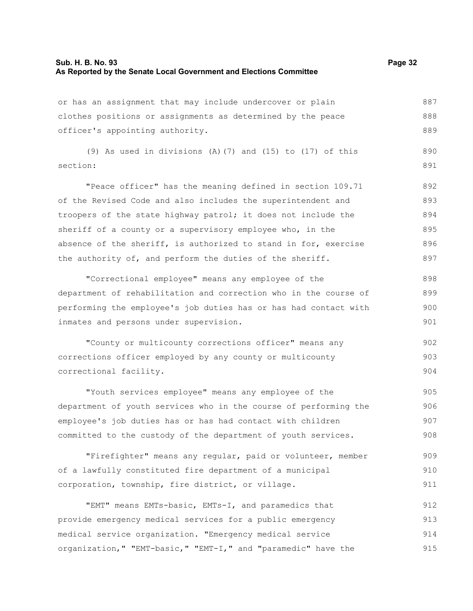#### **Sub. H. B. No. 93 Page 32 As Reported by the Senate Local Government and Elections Committee**

or has an assignment that may include undercover or plain clothes positions or assignments as determined by the peace officer's appointing authority.

(9) As used in divisions (A)(7) and (15) to (17) of this section: 890 891

"Peace officer" has the meaning defined in section 109.71 of the Revised Code and also includes the superintendent and troopers of the state highway patrol; it does not include the sheriff of a county or a supervisory employee who, in the absence of the sheriff, is authorized to stand in for, exercise the authority of, and perform the duties of the sheriff. 892 893 894 895 896 897

"Correctional employee" means any employee of the department of rehabilitation and correction who in the course of performing the employee's job duties has or has had contact with inmates and persons under supervision. 898 899 900 901

"County or multicounty corrections officer" means any corrections officer employed by any county or multicounty correctional facility. 902 903 904

"Youth services employee" means any employee of the department of youth services who in the course of performing the employee's job duties has or has had contact with children committed to the custody of the department of youth services. 905 906 907 908

"Firefighter" means any regular, paid or volunteer, member of a lawfully constituted fire department of a municipal corporation, township, fire district, or village. 909 910 911

"EMT" means EMTs-basic, EMTs-I, and paramedics that provide emergency medical services for a public emergency medical service organization. "Emergency medical service organization," "EMT-basic," "EMT-I," and "paramedic" have the 912 913 914 915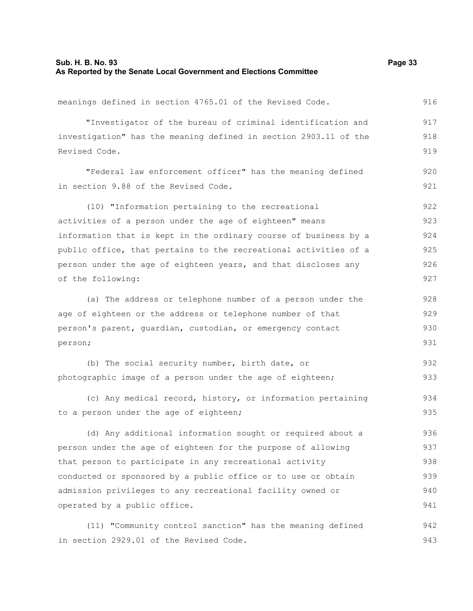### **Sub. H. B. No. 93 Page 33 As Reported by the Senate Local Government and Elections Committee**

| meanings defined in section 4765.01 of the Revised Code.         | 916 |
|------------------------------------------------------------------|-----|
| "Investigator of the bureau of criminal identification and       | 917 |
| investigation" has the meaning defined in section 2903.11 of the | 918 |
| Revised Code.                                                    | 919 |
| "Federal law enforcement officer" has the meaning defined        | 920 |
| in section 9.88 of the Revised Code.                             | 921 |
| (10) "Information pertaining to the recreational                 | 922 |
| activities of a person under the age of eighteen" means          | 923 |
| information that is kept in the ordinary course of business by a | 924 |
| public office, that pertains to the recreational activities of a | 925 |
| person under the age of eighteen years, and that discloses any   | 926 |
| of the following:                                                | 927 |
| (a) The address or telephone number of a person under the        | 928 |
| age of eighteen or the address or telephone number of that       | 929 |
| person's parent, guardian, custodian, or emergency contact       | 930 |
| person;                                                          | 931 |
| (b) The social security number, birth date, or                   | 932 |
| photographic image of a person under the age of eighteen;        | 933 |
| (c) Any medical record, history, or information pertaining       | 934 |
| to a person under the age of eighteen;                           | 935 |
| (d) Any additional information sought or required about a        | 936 |
| person under the age of eighteen for the purpose of allowing     | 937 |
| that person to participate in any recreational activity          | 938 |
| conducted or sponsored by a public office or to use or obtain    | 939 |
| admission privileges to any recreational facility owned or       | 940 |
| operated by a public office.                                     | 941 |
| (11) "Community control sanction" has the meaning defined        | 942 |
| in section 2929.01 of the Revised Code.                          | 943 |
|                                                                  |     |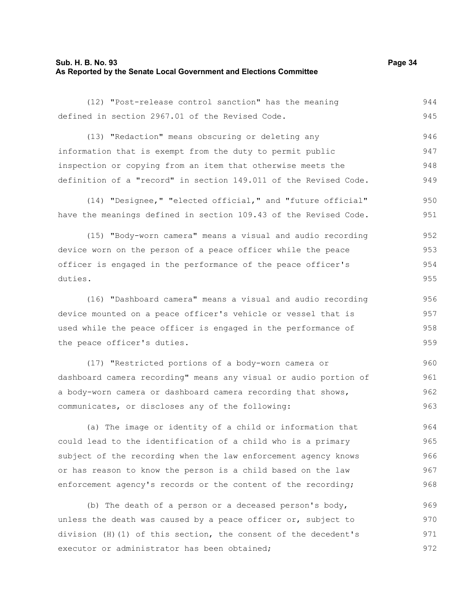#### **Sub. H. B. No. 93 Page 34 As Reported by the Senate Local Government and Elections Committee**

| (12) "Post-release control sanction" has the meaning |  |  | 944 |
|------------------------------------------------------|--|--|-----|
| defined in section 2967.01 of the Revised Code.      |  |  | 945 |

(13) "Redaction" means obscuring or deleting any information that is exempt from the duty to permit public inspection or copying from an item that otherwise meets the definition of a "record" in section 149.011 of the Revised Code. 946 947 948 949

(14) "Designee," "elected official," and "future official" have the meanings defined in section 109.43 of the Revised Code. 950 951

(15) "Body-worn camera" means a visual and audio recording device worn on the person of a peace officer while the peace officer is engaged in the performance of the peace officer's duties. 952 953 954 955

(16) "Dashboard camera" means a visual and audio recording device mounted on a peace officer's vehicle or vessel that is used while the peace officer is engaged in the performance of the peace officer's duties. 956 957 958 959

(17) "Restricted portions of a body-worn camera or dashboard camera recording" means any visual or audio portion of a body-worn camera or dashboard camera recording that shows, communicates, or discloses any of the following: 960 961 962 963

(a) The image or identity of a child or information that could lead to the identification of a child who is a primary subject of the recording when the law enforcement agency knows or has reason to know the person is a child based on the law enforcement agency's records or the content of the recording; 964 965 966 967 968

(b) The death of a person or a deceased person's body, unless the death was caused by a peace officer or, subject to division (H)(1) of this section, the consent of the decedent's executor or administrator has been obtained; 969 970 971 972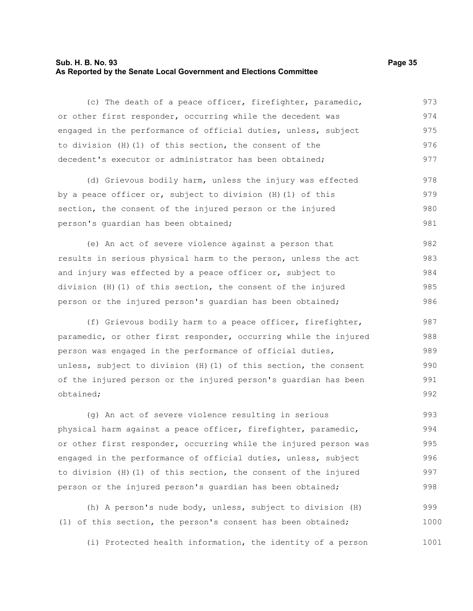#### **Sub. H. B. No. 93 Page 35 As Reported by the Senate Local Government and Elections Committee**

(c) The death of a peace officer, firefighter, paramedic, or other first responder, occurring while the decedent was engaged in the performance of official duties, unless, subject to division (H)(1) of this section, the consent of the decedent's executor or administrator has been obtained; 973 974 975 976 977

(d) Grievous bodily harm, unless the injury was effected by a peace officer or, subject to division (H)(1) of this section, the consent of the injured person or the injured person's guardian has been obtained; 978 979 980 981

(e) An act of severe violence against a person that results in serious physical harm to the person, unless the act and injury was effected by a peace officer or, subject to division (H)(1) of this section, the consent of the injured person or the injured person's guardian has been obtained; 982 983 984 985 986

(f) Grievous bodily harm to a peace officer, firefighter, paramedic, or other first responder, occurring while the injured person was engaged in the performance of official duties, unless, subject to division (H)(1) of this section, the consent of the injured person or the injured person's guardian has been obtained; 987 988 989 990 991 992

(g) An act of severe violence resulting in serious physical harm against a peace officer, firefighter, paramedic, or other first responder, occurring while the injured person was engaged in the performance of official duties, unless, subject to division (H)(1) of this section, the consent of the injured person or the injured person's guardian has been obtained; 993 994 995 996 997 998

(h) A person's nude body, unless, subject to division (H) (1) of this section, the person's consent has been obtained; 999 1000

(i) Protected health information, the identity of a person 1001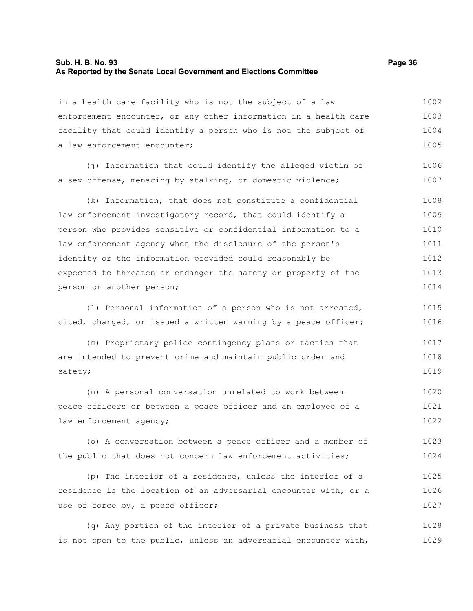#### **Sub. H. B. No. 93 Page 36 As Reported by the Senate Local Government and Elections Committee**

in a health care facility who is not the subject of a law enforcement encounter, or any other information in a health care facility that could identify a person who is not the subject of a law enforcement encounter; 1002 1003 1004 1005

(j) Information that could identify the alleged victim of a sex offense, menacing by stalking, or domestic violence; 1006 1007

(k) Information, that does not constitute a confidential law enforcement investigatory record, that could identify a person who provides sensitive or confidential information to a law enforcement agency when the disclosure of the person's identity or the information provided could reasonably be expected to threaten or endanger the safety or property of the person or another person; 1008 1009 1010 1011 1012 1013 1014

(l) Personal information of a person who is not arrested, cited, charged, or issued a written warning by a peace officer; 1015 1016

(m) Proprietary police contingency plans or tactics that are intended to prevent crime and maintain public order and safety; 1017 1018 1019

(n) A personal conversation unrelated to work between peace officers or between a peace officer and an employee of a law enforcement agency; 1020 1021 1022

(o) A conversation between a peace officer and a member of the public that does not concern law enforcement activities; 1023 1024

(p) The interior of a residence, unless the interior of a residence is the location of an adversarial encounter with, or a use of force by, a peace officer; 1025 1026 1027

(q) Any portion of the interior of a private business that is not open to the public, unless an adversarial encounter with, 1028 1029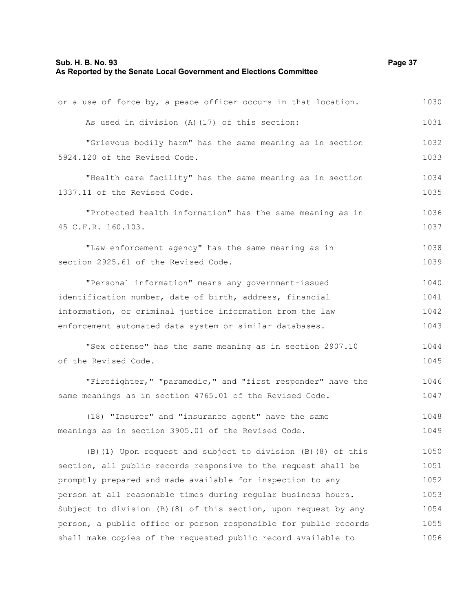| or a use of force by, a peace officer occurs in that location.   | 1030 |
|------------------------------------------------------------------|------|
| As used in division (A) (17) of this section:                    | 1031 |
| "Grievous bodily harm" has the same meaning as in section        | 1032 |
| 5924.120 of the Revised Code.                                    | 1033 |
| "Health care facility" has the same meaning as in section        | 1034 |
| 1337.11 of the Revised Code.                                     | 1035 |
| "Protected health information" has the same meaning as in        | 1036 |
| 45 C.F.R. 160.103.                                               | 1037 |
| "Law enforcement agency" has the same meaning as in              | 1038 |
| section 2925.61 of the Revised Code.                             | 1039 |
| "Personal information" means any government-issued               | 1040 |
| identification number, date of birth, address, financial         | 1041 |
| information, or criminal justice information from the law        | 1042 |
| enforcement automated data system or similar databases.          | 1043 |
| "Sex offense" has the same meaning as in section 2907.10         | 1044 |
| of the Revised Code.                                             | 1045 |
| "Firefighter," "paramedic," and "first responder" have the       | 1046 |
| same meanings as in section 4765.01 of the Revised Code.         | 1047 |
| (18) "Insurer" and "insurance agent" have the same               | 1048 |
| meanings as in section 3905.01 of the Revised Code.              | 1049 |
| (B) (1) Upon request and subject to division (B) (8) of this     | 1050 |
| section, all public records responsive to the request shall be   | 1051 |
| promptly prepared and made available for inspection to any       | 1052 |
| person at all reasonable times during regular business hours.    | 1053 |
| Subject to division (B) (8) of this section, upon request by any | 1054 |
| person, a public office or person responsible for public records | 1055 |
| shall make copies of the requested public record available to    | 1056 |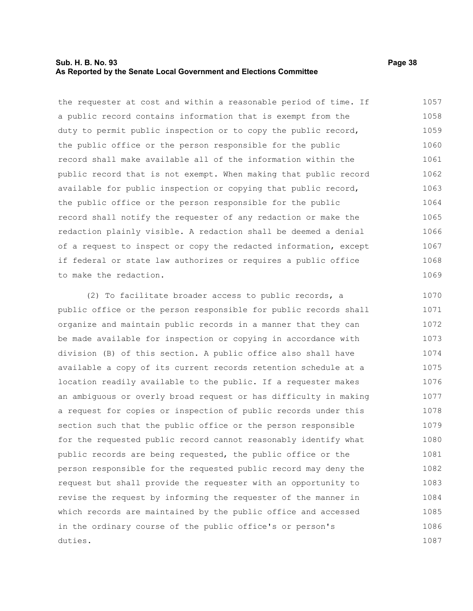#### **Sub. H. B. No. 93 Page 38 As Reported by the Senate Local Government and Elections Committee**

the requester at cost and within a reasonable period of time. If a public record contains information that is exempt from the duty to permit public inspection or to copy the public record, the public office or the person responsible for the public record shall make available all of the information within the public record that is not exempt. When making that public record available for public inspection or copying that public record, the public office or the person responsible for the public record shall notify the requester of any redaction or make the redaction plainly visible. A redaction shall be deemed a denial of a request to inspect or copy the redacted information, except if federal or state law authorizes or requires a public office to make the redaction. 1057 1058 1059 1060 1061 1062 1063 1064 1065 1066 1067 1068 1069

(2) To facilitate broader access to public records, a public office or the person responsible for public records shall organize and maintain public records in a manner that they can be made available for inspection or copying in accordance with division (B) of this section. A public office also shall have available a copy of its current records retention schedule at a location readily available to the public. If a requester makes an ambiguous or overly broad request or has difficulty in making a request for copies or inspection of public records under this section such that the public office or the person responsible for the requested public record cannot reasonably identify what public records are being requested, the public office or the person responsible for the requested public record may deny the request but shall provide the requester with an opportunity to revise the request by informing the requester of the manner in which records are maintained by the public office and accessed in the ordinary course of the public office's or person's duties. 1070 1071 1072 1073 1074 1075 1076 1077 1078 1079 1080 1081 1082 1083 1084 1085 1086 1087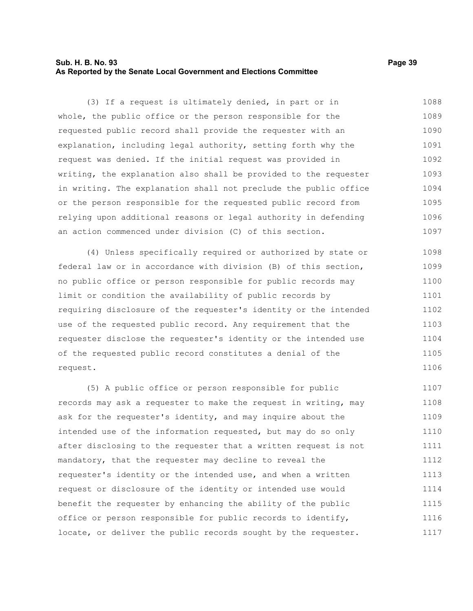#### **Sub. H. B. No. 93 Page 39 As Reported by the Senate Local Government and Elections Committee**

(3) If a request is ultimately denied, in part or in whole, the public office or the person responsible for the requested public record shall provide the requester with an explanation, including legal authority, setting forth why the request was denied. If the initial request was provided in writing, the explanation also shall be provided to the requester in writing. The explanation shall not preclude the public office or the person responsible for the requested public record from relying upon additional reasons or legal authority in defending an action commenced under division (C) of this section. 1088 1089 1090 1091 1092 1093 1094 1095 1096 1097

(4) Unless specifically required or authorized by state or federal law or in accordance with division (B) of this section, no public office or person responsible for public records may limit or condition the availability of public records by requiring disclosure of the requester's identity or the intended use of the requested public record. Any requirement that the requester disclose the requester's identity or the intended use of the requested public record constitutes a denial of the request. 1098 1099 1100 1101 1102 1103 1104 1105 1106

(5) A public office or person responsible for public records may ask a requester to make the request in writing, may ask for the requester's identity, and may inquire about the intended use of the information requested, but may do so only after disclosing to the requester that a written request is not mandatory, that the requester may decline to reveal the requester's identity or the intended use, and when a written request or disclosure of the identity or intended use would benefit the requester by enhancing the ability of the public office or person responsible for public records to identify, locate, or deliver the public records sought by the requester. 1107 1108 1109 1110 1111 1112 1113 1114 1115 1116 1117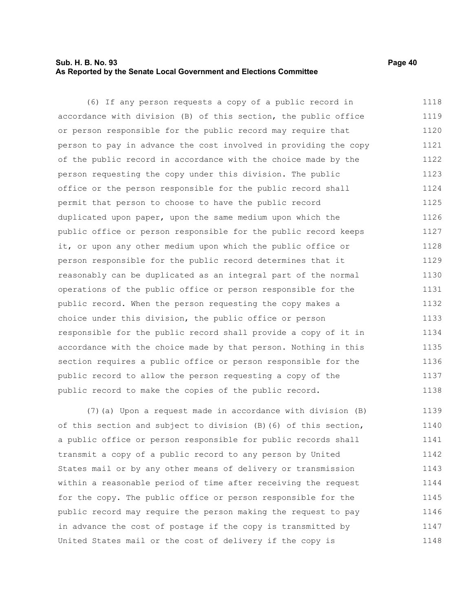#### **Sub. H. B. No. 93 Page 40 As Reported by the Senate Local Government and Elections Committee**

(6) If any person requests a copy of a public record in accordance with division (B) of this section, the public office or person responsible for the public record may require that person to pay in advance the cost involved in providing the copy of the public record in accordance with the choice made by the person requesting the copy under this division. The public office or the person responsible for the public record shall permit that person to choose to have the public record duplicated upon paper, upon the same medium upon which the public office or person responsible for the public record keeps it, or upon any other medium upon which the public office or person responsible for the public record determines that it reasonably can be duplicated as an integral part of the normal operations of the public office or person responsible for the public record. When the person requesting the copy makes a choice under this division, the public office or person responsible for the public record shall provide a copy of it in accordance with the choice made by that person. Nothing in this section requires a public office or person responsible for the public record to allow the person requesting a copy of the public record to make the copies of the public record. 1118 1119 1120 1121 1122 1123 1124 1125 1126 1127 1128 1129 1130 1131 1132 1133 1134 1135 1136 1137 1138

(7)(a) Upon a request made in accordance with division (B) of this section and subject to division (B)(6) of this section, a public office or person responsible for public records shall transmit a copy of a public record to any person by United States mail or by any other means of delivery or transmission within a reasonable period of time after receiving the request for the copy. The public office or person responsible for the public record may require the person making the request to pay in advance the cost of postage if the copy is transmitted by United States mail or the cost of delivery if the copy is 1139 1140 1141 1142 1143 1144 1145 1146 1147 1148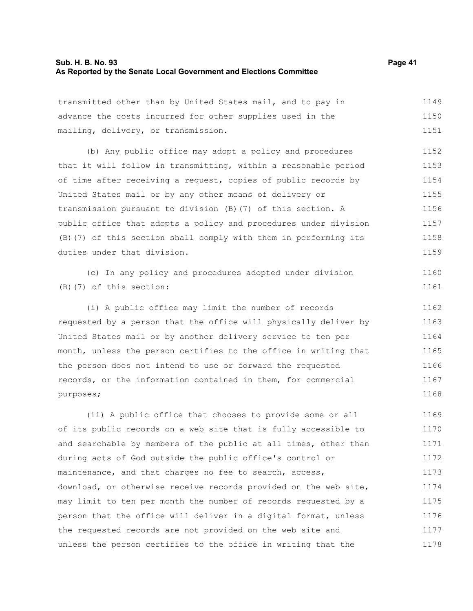#### **Sub. H. B. No. 93 Page 41 As Reported by the Senate Local Government and Elections Committee**

transmitted other than by United States mail, and to pay in advance the costs incurred for other supplies used in the mailing, delivery, or transmission. 1149 1150 1151

(b) Any public office may adopt a policy and procedures that it will follow in transmitting, within a reasonable period of time after receiving a request, copies of public records by United States mail or by any other means of delivery or transmission pursuant to division (B)(7) of this section. A public office that adopts a policy and procedures under division (B)(7) of this section shall comply with them in performing its duties under that division. 1152 1153 1154 1155 1156 1157 1158 1159

(c) In any policy and procedures adopted under division (B)(7) of this section:

(i) A public office may limit the number of records requested by a person that the office will physically deliver by United States mail or by another delivery service to ten per month, unless the person certifies to the office in writing that the person does not intend to use or forward the requested records, or the information contained in them, for commercial purposes; 1162 1163 1164 1165 1166 1167 1168

(ii) A public office that chooses to provide some or all of its public records on a web site that is fully accessible to and searchable by members of the public at all times, other than during acts of God outside the public office's control or maintenance, and that charges no fee to search, access, download, or otherwise receive records provided on the web site, may limit to ten per month the number of records requested by a person that the office will deliver in a digital format, unless the requested records are not provided on the web site and unless the person certifies to the office in writing that the 1169 1170 1171 1172 1173 1174 1175 1176 1177 1178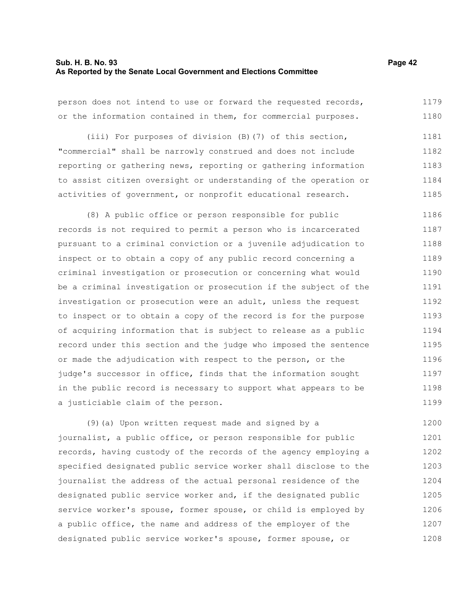#### **Sub. H. B. No. 93 Page 42 As Reported by the Senate Local Government and Elections Committee**

person does not intend to use or forward the requested records, or the information contained in them, for commercial purposes. 1179 1180

(iii) For purposes of division (B)(7) of this section, "commercial" shall be narrowly construed and does not include reporting or gathering news, reporting or gathering information to assist citizen oversight or understanding of the operation or activities of government, or nonprofit educational research. 1181 1182 1183 1184 1185

(8) A public office or person responsible for public records is not required to permit a person who is incarcerated pursuant to a criminal conviction or a juvenile adjudication to inspect or to obtain a copy of any public record concerning a criminal investigation or prosecution or concerning what would be a criminal investigation or prosecution if the subject of the investigation or prosecution were an adult, unless the request to inspect or to obtain a copy of the record is for the purpose of acquiring information that is subject to release as a public record under this section and the judge who imposed the sentence or made the adjudication with respect to the person, or the judge's successor in office, finds that the information sought in the public record is necessary to support what appears to be a justiciable claim of the person. 1186 1187 1188 1189 1190 1191 1192 1193 1194 1195 1196 1197 1198 1199

(9)(a) Upon written request made and signed by a journalist, a public office, or person responsible for public records, having custody of the records of the agency employing a specified designated public service worker shall disclose to the journalist the address of the actual personal residence of the designated public service worker and, if the designated public service worker's spouse, former spouse, or child is employed by a public office, the name and address of the employer of the designated public service worker's spouse, former spouse, or 1200 1201 1202 1203 1204 1205 1206 1207 1208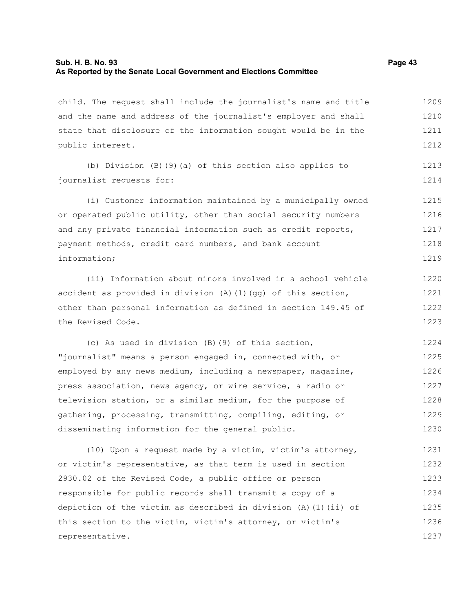#### **Sub. H. B. No. 93 Page 43 As Reported by the Senate Local Government and Elections Committee**

child. The request shall include the journalist's name and title and the name and address of the journalist's employer and shall state that disclosure of the information sought would be in the public interest. 1209 1210 1211 1212

(b) Division (B)(9)(a) of this section also applies to journalist requests for: 1213 1214

(i) Customer information maintained by a municipally owned or operated public utility, other than social security numbers and any private financial information such as credit reports, payment methods, credit card numbers, and bank account information; 1215 1216 1217 1218 1219

(ii) Information about minors involved in a school vehicle accident as provided in division (A)(1)(gg) of this section, other than personal information as defined in section 149.45 of the Revised Code. 1220 1221 1222 1223

(c) As used in division (B)(9) of this section, "journalist" means a person engaged in, connected with, or employed by any news medium, including a newspaper, magazine, press association, news agency, or wire service, a radio or television station, or a similar medium, for the purpose of gathering, processing, transmitting, compiling, editing, or disseminating information for the general public. 1224 1225 1226 1227 1228 1229 1230

(10) Upon a request made by a victim, victim's attorney, or victim's representative, as that term is used in section 2930.02 of the Revised Code, a public office or person responsible for public records shall transmit a copy of a depiction of the victim as described in division (A)(1)(ii) of this section to the victim, victim's attorney, or victim's representative. 1231 1232 1233 1234 1235 1236 1237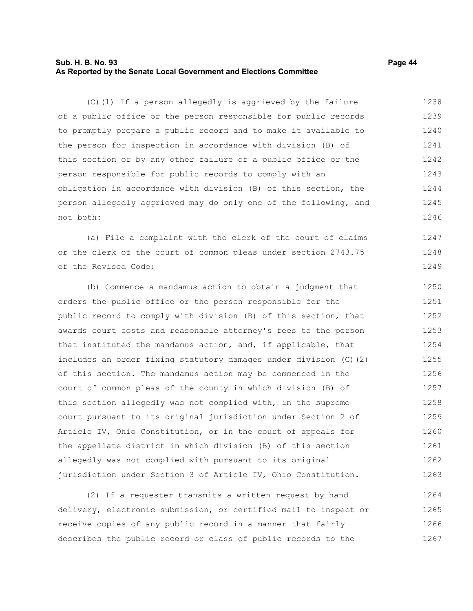#### **Sub. H. B. No. 93 Page 44 As Reported by the Senate Local Government and Elections Committee**

(C)(1) If a person allegedly is aggrieved by the failure of a public office or the person responsible for public records to promptly prepare a public record and to make it available to the person for inspection in accordance with division (B) of this section or by any other failure of a public office or the person responsible for public records to comply with an obligation in accordance with division (B) of this section, the person allegedly aggrieved may do only one of the following, and not both: 1238 1239 1240 1241 1242 1243 1244 1245 1246

(a) File a complaint with the clerk of the court of claims or the clerk of the court of common pleas under section 2743.75 of the Revised Code; 1247 1248 1249

(b) Commence a mandamus action to obtain a judgment that orders the public office or the person responsible for the public record to comply with division (B) of this section, that awards court costs and reasonable attorney's fees to the person that instituted the mandamus action, and, if applicable, that includes an order fixing statutory damages under division (C)(2) of this section. The mandamus action may be commenced in the court of common pleas of the county in which division (B) of this section allegedly was not complied with, in the supreme court pursuant to its original jurisdiction under Section 2 of Article IV, Ohio Constitution, or in the court of appeals for the appellate district in which division (B) of this section allegedly was not complied with pursuant to its original jurisdiction under Section 3 of Article IV, Ohio Constitution. 1250 1251 1252 1253 1254 1255 1256 1257 1258 1259 1260 1261 1262 1263

(2) If a requester transmits a written request by hand delivery, electronic submission, or certified mail to inspect or receive copies of any public record in a manner that fairly describes the public record or class of public records to the 1264 1265 1266 1267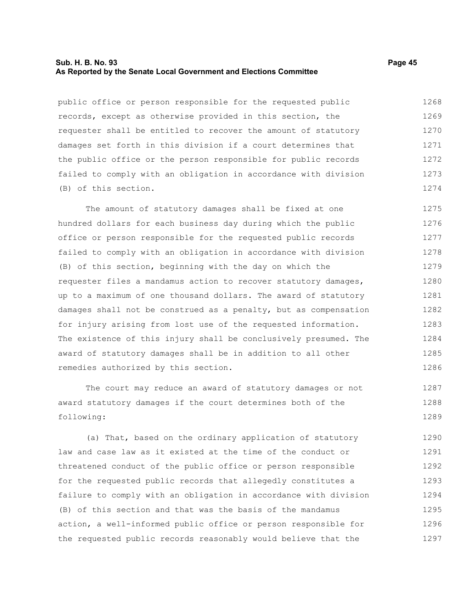#### **Sub. H. B. No. 93 Page 45 As Reported by the Senate Local Government and Elections Committee**

public office or person responsible for the requested public records, except as otherwise provided in this section, the requester shall be entitled to recover the amount of statutory damages set forth in this division if a court determines that the public office or the person responsible for public records failed to comply with an obligation in accordance with division (B) of this section. 1268 1269 1270 1271 1272 1273 1274

The amount of statutory damages shall be fixed at one hundred dollars for each business day during which the public office or person responsible for the requested public records failed to comply with an obligation in accordance with division (B) of this section, beginning with the day on which the requester files a mandamus action to recover statutory damages, up to a maximum of one thousand dollars. The award of statutory damages shall not be construed as a penalty, but as compensation for injury arising from lost use of the requested information. The existence of this injury shall be conclusively presumed. The award of statutory damages shall be in addition to all other remedies authorized by this section. 1275 1276 1277 1278 1279 1280 1281 1282 1283 1284 1285 1286

The court may reduce an award of statutory damages or not award statutory damages if the court determines both of the following: 1287 1288 1289

(a) That, based on the ordinary application of statutory law and case law as it existed at the time of the conduct or threatened conduct of the public office or person responsible for the requested public records that allegedly constitutes a failure to comply with an obligation in accordance with division (B) of this section and that was the basis of the mandamus action, a well-informed public office or person responsible for the requested public records reasonably would believe that the 1290 1291 1292 1293 1294 1295 1296 1297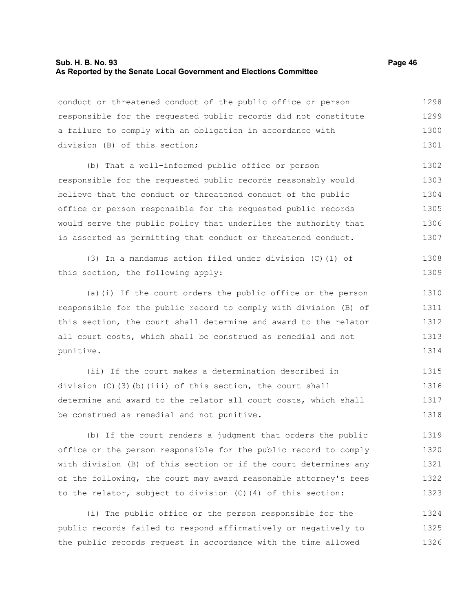#### **Sub. H. B. No. 93 Page 46 As Reported by the Senate Local Government and Elections Committee**

conduct or threatened conduct of the public office or person responsible for the requested public records did not constitute a failure to comply with an obligation in accordance with division (B) of this section; 1298 1299 1300 1301

(b) That a well-informed public office or person responsible for the requested public records reasonably would believe that the conduct or threatened conduct of the public office or person responsible for the requested public records would serve the public policy that underlies the authority that is asserted as permitting that conduct or threatened conduct. 1302 1303 1304 1305 1306 1307

(3) In a mandamus action filed under division (C)(1) of this section, the following apply: 1308 1309

(a)(i) If the court orders the public office or the person responsible for the public record to comply with division (B) of this section, the court shall determine and award to the relator all court costs, which shall be construed as remedial and not punitive. 1310 1311 1312 1313 1314

(ii) If the court makes a determination described in division (C)(3)(b)(iii) of this section, the court shall determine and award to the relator all court costs, which shall be construed as remedial and not punitive. 1315 1316 1317 1318

(b) If the court renders a judgment that orders the public office or the person responsible for the public record to comply with division (B) of this section or if the court determines any of the following, the court may award reasonable attorney's fees to the relator, subject to division (C)(4) of this section: 1319 1320 1321 1322 1323

(i) The public office or the person responsible for the public records failed to respond affirmatively or negatively to the public records request in accordance with the time allowed 1324 1325 1326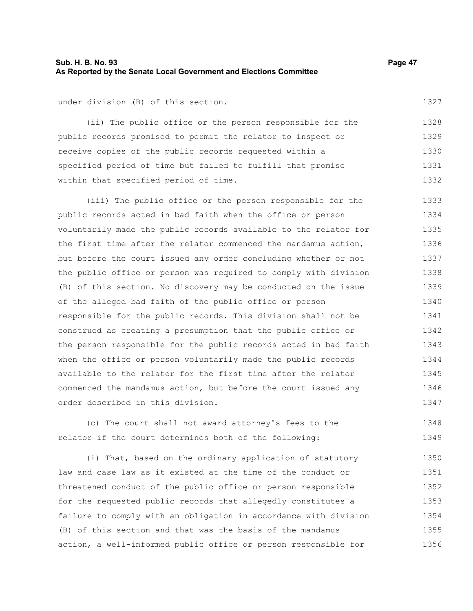### **Sub. H. B. No. 93 Page 47 As Reported by the Senate Local Government and Elections Committee**

under division (B) of this section.

(ii) The public office or the person responsible for the public records promised to permit the relator to inspect or receive copies of the public records requested within a specified period of time but failed to fulfill that promise within that specified period of time. 1328 1329 1330 1331 1332

(iii) The public office or the person responsible for the public records acted in bad faith when the office or person voluntarily made the public records available to the relator for the first time after the relator commenced the mandamus action, but before the court issued any order concluding whether or not the public office or person was required to comply with division (B) of this section. No discovery may be conducted on the issue of the alleged bad faith of the public office or person responsible for the public records. This division shall not be construed as creating a presumption that the public office or the person responsible for the public records acted in bad faith when the office or person voluntarily made the public records available to the relator for the first time after the relator commenced the mandamus action, but before the court issued any order described in this division. 1333 1334 1335 1336 1337 1338 1339 1340 1341 1342 1343 1344 1345 1346 1347

(c) The court shall not award attorney's fees to the relator if the court determines both of the following: 1348 1349

(i) That, based on the ordinary application of statutory law and case law as it existed at the time of the conduct or threatened conduct of the public office or person responsible for the requested public records that allegedly constitutes a failure to comply with an obligation in accordance with division (B) of this section and that was the basis of the mandamus action, a well-informed public office or person responsible for 1350 1351 1352 1353 1354 1355 1356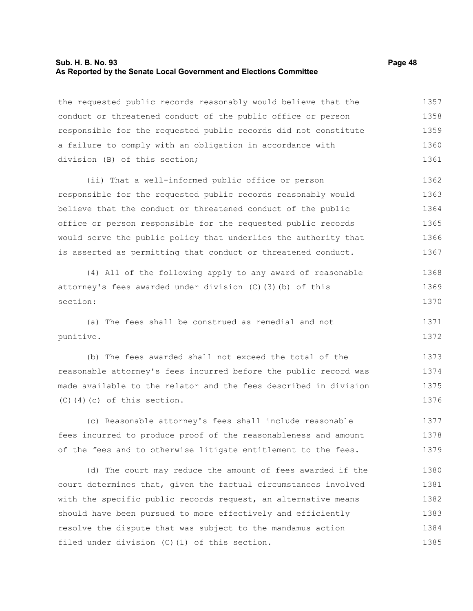#### **Sub. H. B. No. 93 Page 48 As Reported by the Senate Local Government and Elections Committee**

the requested public records reasonably would believe that the conduct or threatened conduct of the public office or person responsible for the requested public records did not constitute a failure to comply with an obligation in accordance with division (B) of this section; 1357 1358 1359 1360 1361

(ii) That a well-informed public office or person responsible for the requested public records reasonably would believe that the conduct or threatened conduct of the public office or person responsible for the requested public records would serve the public policy that underlies the authority that is asserted as permitting that conduct or threatened conduct. 1362 1363 1364 1365 1366 1367

```
(4) All of the following apply to any award of reasonable
attorney's fees awarded under division (C)(3)(b) of this
section: 
                                                                            1368
                                                                            1369
                                                                            1370
```
(a) The fees shall be construed as remedial and not punitive. 1371 1372

(b) The fees awarded shall not exceed the total of the reasonable attorney's fees incurred before the public record was made available to the relator and the fees described in division (C)(4)(c) of this section. 1373 1374 1375 1376

(c) Reasonable attorney's fees shall include reasonable fees incurred to produce proof of the reasonableness and amount of the fees and to otherwise litigate entitlement to the fees. 1377 1378 1379

(d) The court may reduce the amount of fees awarded if the court determines that, given the factual circumstances involved with the specific public records request, an alternative means should have been pursued to more effectively and efficiently resolve the dispute that was subject to the mandamus action filed under division (C)(1) of this section. 1380 1381 1382 1383 1384 1385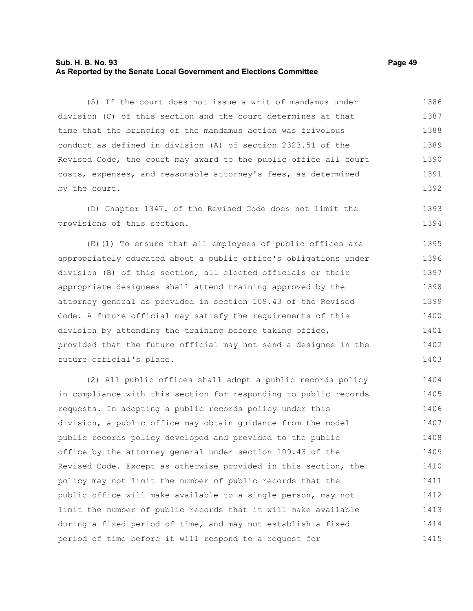#### **Sub. H. B. No. 93 Page 49 As Reported by the Senate Local Government and Elections Committee**

(5) If the court does not issue a writ of mandamus under division (C) of this section and the court determines at that time that the bringing of the mandamus action was frivolous conduct as defined in division (A) of section 2323.51 of the Revised Code, the court may award to the public office all court costs, expenses, and reasonable attorney's fees, as determined by the court. 1386 1387 1388 1389 1390 1391 1392

(D) Chapter 1347. of the Revised Code does not limit the provisions of this section. 1393 1394

(E)(1) To ensure that all employees of public offices are appropriately educated about a public office's obligations under division (B) of this section, all elected officials or their appropriate designees shall attend training approved by the attorney general as provided in section 109.43 of the Revised Code. A future official may satisfy the requirements of this division by attending the training before taking office, provided that the future official may not send a designee in the future official's place. 1395 1396 1397 1398 1399 1400 1401 1402 1403

(2) All public offices shall adopt a public records policy in compliance with this section for responding to public records requests. In adopting a public records policy under this division, a public office may obtain guidance from the model public records policy developed and provided to the public office by the attorney general under section 109.43 of the Revised Code. Except as otherwise provided in this section, the policy may not limit the number of public records that the public office will make available to a single person, may not limit the number of public records that it will make available during a fixed period of time, and may not establish a fixed period of time before it will respond to a request for 1404 1405 1406 1407 1408 1409 1410 1411 1412 1413 1414 1415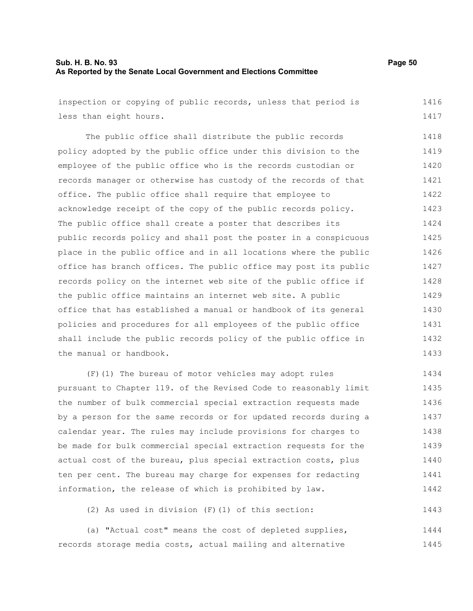#### **Sub. H. B. No. 93 Page 50 As Reported by the Senate Local Government and Elections Committee**

inspection or copying of public records, unless that period is less than eight hours. 1416 1417

The public office shall distribute the public records policy adopted by the public office under this division to the employee of the public office who is the records custodian or records manager or otherwise has custody of the records of that office. The public office shall require that employee to acknowledge receipt of the copy of the public records policy. The public office shall create a poster that describes its public records policy and shall post the poster in a conspicuous place in the public office and in all locations where the public office has branch offices. The public office may post its public records policy on the internet web site of the public office if the public office maintains an internet web site. A public office that has established a manual or handbook of its general policies and procedures for all employees of the public office shall include the public records policy of the public office in the manual or handbook. 1418 1419 1420 1421 1422 1423 1424 1425 1426 1427 1428 1429 1430 1431 1432 1433

(F)(1) The bureau of motor vehicles may adopt rules pursuant to Chapter 119. of the Revised Code to reasonably limit the number of bulk commercial special extraction requests made by a person for the same records or for updated records during a calendar year. The rules may include provisions for charges to be made for bulk commercial special extraction requests for the actual cost of the bureau, plus special extraction costs, plus ten per cent. The bureau may charge for expenses for redacting information, the release of which is prohibited by law. 1434 1435 1436 1437 1438 1439 1440 1441 1442

(2) As used in division (F)(1) of this section:

(a) "Actual cost" means the cost of depleted supplies, records storage media costs, actual mailing and alternative 1444 1445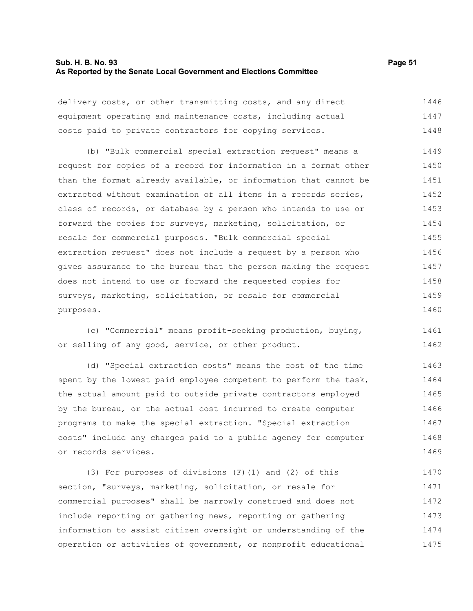#### **Sub. H. B. No. 93 Page 51 As Reported by the Senate Local Government and Elections Committee**

delivery costs, or other transmitting costs, and any direct equipment operating and maintenance costs, including actual costs paid to private contractors for copying services. 1446 1447 1448

(b) "Bulk commercial special extraction request" means a request for copies of a record for information in a format other than the format already available, or information that cannot be extracted without examination of all items in a records series, class of records, or database by a person who intends to use or forward the copies for surveys, marketing, solicitation, or resale for commercial purposes. "Bulk commercial special extraction request" does not include a request by a person who gives assurance to the bureau that the person making the request does not intend to use or forward the requested copies for surveys, marketing, solicitation, or resale for commercial purposes. 1449 1450 1451 1452 1453 1454 1455 1456 1457 1458 1459 1460

(c) "Commercial" means profit-seeking production, buying, or selling of any good, service, or other product. 1461 1462

(d) "Special extraction costs" means the cost of the time spent by the lowest paid employee competent to perform the task, the actual amount paid to outside private contractors employed by the bureau, or the actual cost incurred to create computer programs to make the special extraction. "Special extraction costs" include any charges paid to a public agency for computer or records services. 1463 1464 1465 1466 1467 1468 1469

(3) For purposes of divisions (F)(1) and (2) of this section, "surveys, marketing, solicitation, or resale for commercial purposes" shall be narrowly construed and does not include reporting or gathering news, reporting or gathering information to assist citizen oversight or understanding of the operation or activities of government, or nonprofit educational 1470 1471 1472 1473 1474 1475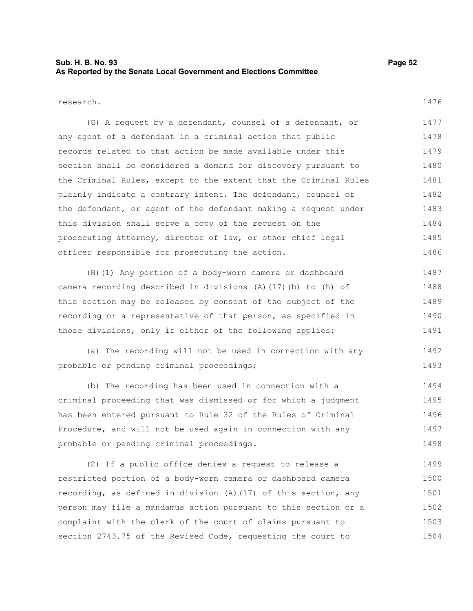### **Sub. H. B. No. 93 Page 52 As Reported by the Senate Local Government and Elections Committee**

#### research.

1492 1493

(G) A request by a defendant, counsel of a defendant, or any agent of a defendant in a criminal action that public records related to that action be made available under this section shall be considered a demand for discovery pursuant to the Criminal Rules, except to the extent that the Criminal Rules plainly indicate a contrary intent. The defendant, counsel of the defendant, or agent of the defendant making a request under this division shall serve a copy of the request on the prosecuting attorney, director of law, or other chief legal officer responsible for prosecuting the action. 1477 1478 1479 1480 1481 1482 1483 1484 1485 1486

(H)(1) Any portion of a body-worn camera or dashboard camera recording described in divisions (A)(17)(b) to (h) of this section may be released by consent of the subject of the recording or a representative of that person, as specified in those divisions, only if either of the following applies: 1487 1488 1489 1490 1491

(a) The recording will not be used in connection with any probable or pending criminal proceedings;

(b) The recording has been used in connection with a criminal proceeding that was dismissed or for which a judgment has been entered pursuant to Rule 32 of the Rules of Criminal Procedure, and will not be used again in connection with any probable or pending criminal proceedings. 1494 1495 1496 1497 1498

(2) If a public office denies a request to release a restricted portion of a body-worn camera or dashboard camera recording, as defined in division (A)(17) of this section, any person may file a mandamus action pursuant to this section or a complaint with the clerk of the court of claims pursuant to section 2743.75 of the Revised Code, requesting the court to 1499 1500 1501 1502 1503 1504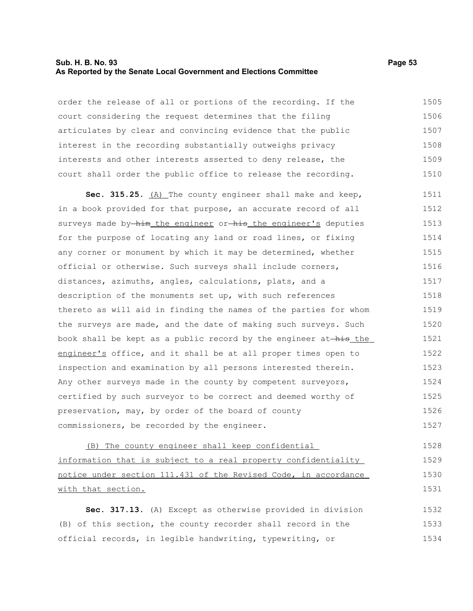#### **Sub. H. B. No. 93 Page 53 As Reported by the Senate Local Government and Elections Committee**

order the release of all or portions of the recording. If the court considering the request determines that the filing articulates by clear and convincing evidence that the public interest in the recording substantially outweighs privacy interests and other interests asserted to deny release, the court shall order the public office to release the recording. 1505 1506 1507 1508 1509 1510

**Sec. 315.25.** (A) The county engineer shall make and keep, in a book provided for that purpose, an accurate record of all surveys made by him the engineer or his the engineer's deputies for the purpose of locating any land or road lines, or fixing any corner or monument by which it may be determined, whether official or otherwise. Such surveys shall include corners, distances, azimuths, angles, calculations, plats, and a description of the monuments set up, with such references thereto as will aid in finding the names of the parties for whom the surveys are made, and the date of making such surveys. Such book shall be kept as a public record by the engineer at-his the engineer's office, and it shall be at all proper times open to inspection and examination by all persons interested therein. Any other surveys made in the county by competent surveyors, certified by such surveyor to be correct and deemed worthy of preservation, may, by order of the board of county commissioners, be recorded by the engineer. 1511 1512 1513 1514 1515 1516 1517 1518 1519 1520 1521 1522 1523 1524 1525 1526 1527

(B) The county engineer shall keep confidential information that is subject to a real property confidentiality notice under section 111.431 of the Revised Code, in accordance with that section. 1528 1529 1530 1531

**Sec. 317.13.** (A) Except as otherwise provided in division (B) of this section, the county recorder shall record in the official records, in legible handwriting, typewriting, or 1532 1533 1534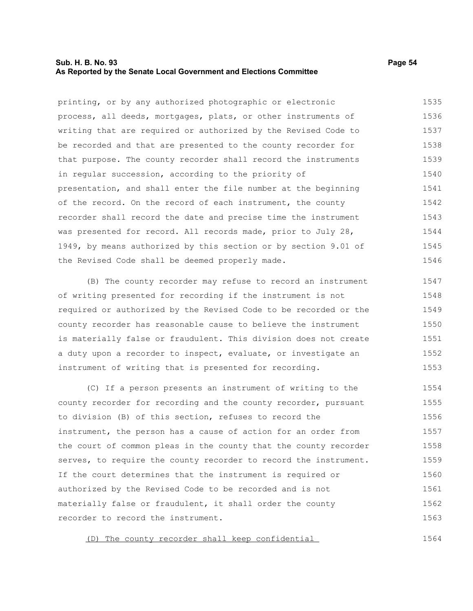#### **Sub. H. B. No. 93 Page 54 As Reported by the Senate Local Government and Elections Committee**

printing, or by any authorized photographic or electronic process, all deeds, mortgages, plats, or other instruments of writing that are required or authorized by the Revised Code to be recorded and that are presented to the county recorder for that purpose. The county recorder shall record the instruments in regular succession, according to the priority of presentation, and shall enter the file number at the beginning of the record. On the record of each instrument, the county recorder shall record the date and precise time the instrument was presented for record. All records made, prior to July 28, 1949, by means authorized by this section or by section 9.01 of the Revised Code shall be deemed properly made. 1535 1536 1537 1538 1539 1540 1541 1542 1543 1544 1545 1546

(B) The county recorder may refuse to record an instrument of writing presented for recording if the instrument is not required or authorized by the Revised Code to be recorded or the county recorder has reasonable cause to believe the instrument is materially false or fraudulent. This division does not create a duty upon a recorder to inspect, evaluate, or investigate an instrument of writing that is presented for recording. 1547 1548 1549 1550 1551 1552 1553

(C) If a person presents an instrument of writing to the county recorder for recording and the county recorder, pursuant to division (B) of this section, refuses to record the instrument, the person has a cause of action for an order from the court of common pleas in the county that the county recorder serves, to require the county recorder to record the instrument. If the court determines that the instrument is required or authorized by the Revised Code to be recorded and is not materially false or fraudulent, it shall order the county recorder to record the instrument. 1554 1555 1556 1557 1558 1559 1560 1561 1562 1563

(D) The county recorder shall keep confidential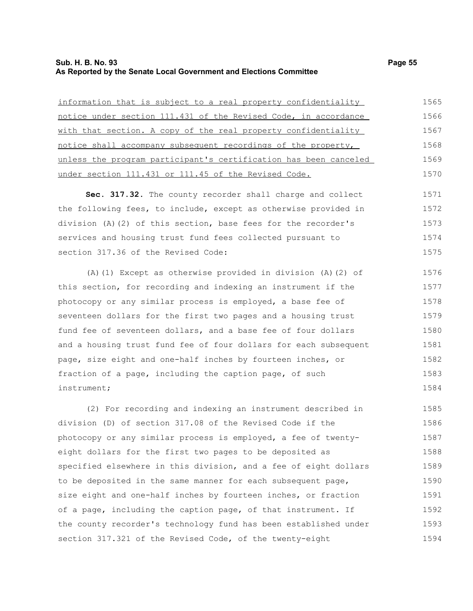#### **Sub. H. B. No. 93 Page 55 As Reported by the Senate Local Government and Elections Committee**

instrument;

| information that is subject to a real property confidentiality   | 1565 |
|------------------------------------------------------------------|------|
| notice under section 111.431 of the Revised Code, in accordance  | 1566 |
| with that section. A copy of the real property confidentiality   | 1567 |
| notice shall accompany subsequent recordings of the property,    | 1568 |
| unless the program participant's certification has been canceled | 1569 |
| under section 111.431 or 111.45 of the Revised Code.             | 1570 |
| Sec. 317.32. The county recorder shall charge and collect        | 1571 |
| the following fees, to include, except as otherwise provided in  | 1572 |
| division (A)(2) of this section, base fees for the recorder's    | 1573 |
| services and housing trust fund fees collected pursuant to       | 1574 |
| section 317.36 of the Revised Code:                              | 1575 |
| (A) (1) Except as otherwise provided in division (A) (2) of      | 1576 |
| this section, for recording and indexing an instrument if the    | 1577 |
| photocopy or any similar process is employed, a base fee of      | 1578 |
| seventeen dollars for the first two pages and a housing trust    | 1579 |
| fund fee of seventeen dollars, and a base fee of four dollars    | 1580 |
| and a housing trust fund fee of four dollars for each subsequent | 1581 |
| page, size eight and one-half inches by fourteen inches, or      | 1582 |
| fraction of a page, including the caption page, of such          | 1583 |

(2) For recording and indexing an instrument described in division (D) of section 317.08 of the Revised Code if the photocopy or any similar process is employed, a fee of twentyeight dollars for the first two pages to be deposited as specified elsewhere in this division, and a fee of eight dollars to be deposited in the same manner for each subsequent page, size eight and one-half inches by fourteen inches, or fraction of a page, including the caption page, of that instrument. If the county recorder's technology fund has been established under section 317.321 of the Revised Code, of the twenty-eight 1585 1586 1587 1588 1589 1590 1591 1592 1593 1594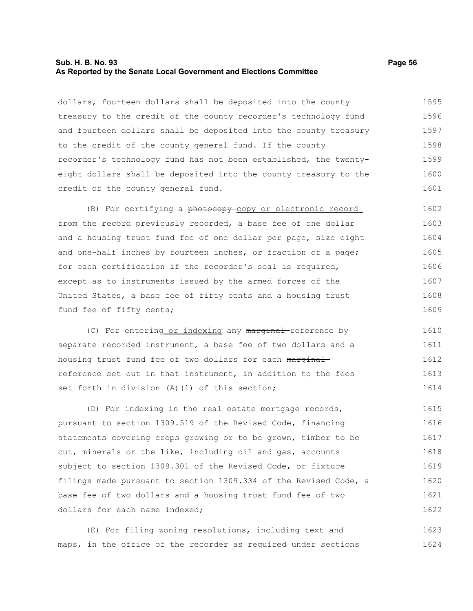#### **Sub. H. B. No. 93 Page 56 As Reported by the Senate Local Government and Elections Committee**

dollars, fourteen dollars shall be deposited into the county treasury to the credit of the county recorder's technology fund and fourteen dollars shall be deposited into the county treasury to the credit of the county general fund. If the county recorder's technology fund has not been established, the twentyeight dollars shall be deposited into the county treasury to the credit of the county general fund. 1595 1596 1597 1598 1599 1600 1601

(B) For certifying a photocopy copy or electronic record from the record previously recorded, a base fee of one dollar and a housing trust fund fee of one dollar per page, size eight and one-half inches by fourteen inches, or fraction of a page; for each certification if the recorder's seal is required, except as to instruments issued by the armed forces of the United States, a base fee of fifty cents and a housing trust fund fee of fifty cents; 1602 1603 1604 1605 1606 1607 1608 1609

(C) For entering or indexing any marginal reference by separate recorded instrument, a base fee of two dollars and a housing trust fund fee of two dollars for each marginal reference set out in that instrument, in addition to the fees set forth in division (A)(1) of this section; 1610 1611 1612 1613 1614

(D) For indexing in the real estate mortgage records, pursuant to section 1309.519 of the Revised Code, financing statements covering crops growing or to be grown, timber to be cut, minerals or the like, including oil and gas, accounts subject to section 1309.301 of the Revised Code, or fixture filings made pursuant to section 1309.334 of the Revised Code, a base fee of two dollars and a housing trust fund fee of two dollars for each name indexed: 1615 1616 1617 1618 1619 1620 1621 1622

(E) For filing zoning resolutions, including text and maps, in the office of the recorder as required under sections 1623 1624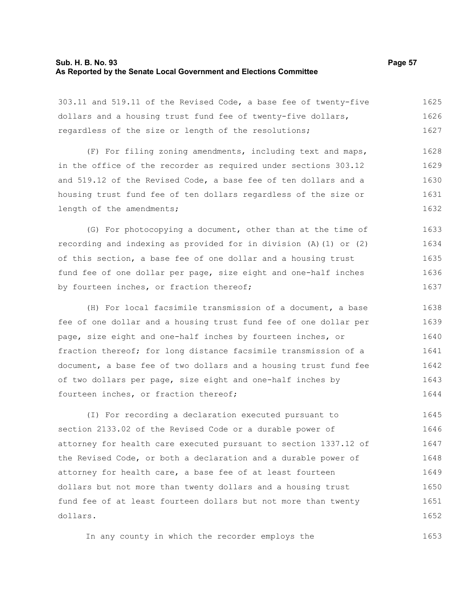#### **Sub. H. B. No. 93 Page 57 As Reported by the Senate Local Government and Elections Committee**

303.11 and 519.11 of the Revised Code, a base fee of twenty-five dollars and a housing trust fund fee of twenty-five dollars, regardless of the size or length of the resolutions; 1625 1626 1627

(F) For filing zoning amendments, including text and maps, in the office of the recorder as required under sections 303.12 and 519.12 of the Revised Code, a base fee of ten dollars and a housing trust fund fee of ten dollars regardless of the size or length of the amendments; 1628 1629 1630 1631 1632

(G) For photocopying a document, other than at the time of recording and indexing as provided for in division (A)(1) or (2) of this section, a base fee of one dollar and a housing trust fund fee of one dollar per page, size eight and one-half inches by fourteen inches, or fraction thereof; 1633 1634 1635 1636 1637

(H) For local facsimile transmission of a document, a base fee of one dollar and a housing trust fund fee of one dollar per page, size eight and one-half inches by fourteen inches, or fraction thereof; for long distance facsimile transmission of a document, a base fee of two dollars and a housing trust fund fee of two dollars per page, size eight and one-half inches by fourteen inches, or fraction thereof; 1638 1639 1640 1641 1642 1643 1644

(I) For recording a declaration executed pursuant to section 2133.02 of the Revised Code or a durable power of attorney for health care executed pursuant to section 1337.12 of the Revised Code, or both a declaration and a durable power of attorney for health care, a base fee of at least fourteen dollars but not more than twenty dollars and a housing trust fund fee of at least fourteen dollars but not more than twenty dollars. 1645 1646 1647 1648 1649 1650 1651 1652

In any county in which the recorder employs the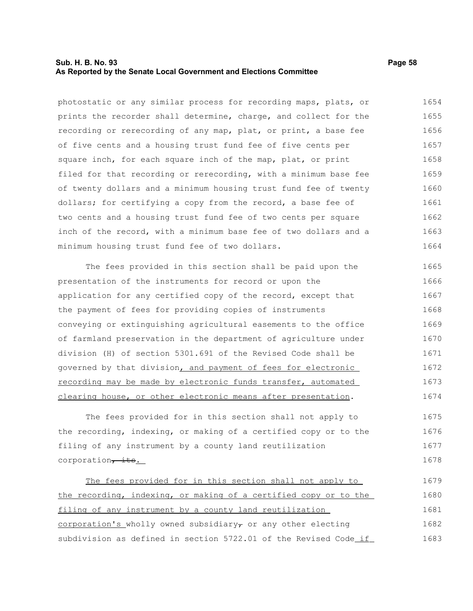#### **Sub. H. B. No. 93 Page 58 As Reported by the Senate Local Government and Elections Committee**

photostatic or any similar process for recording maps, plats, or prints the recorder shall determine, charge, and collect for the recording or rerecording of any map, plat, or print, a base fee of five cents and a housing trust fund fee of five cents per square inch, for each square inch of the map, plat, or print filed for that recording or rerecording, with a minimum base fee of twenty dollars and a minimum housing trust fund fee of twenty dollars; for certifying a copy from the record, a base fee of two cents and a housing trust fund fee of two cents per square inch of the record, with a minimum base fee of two dollars and a minimum housing trust fund fee of two dollars. 1654 1655 1656 1657 1658 1659 1660 1661 1662 1663 1664

The fees provided in this section shall be paid upon the presentation of the instruments for record or upon the application for any certified copy of the record, except that the payment of fees for providing copies of instruments conveying or extinguishing agricultural easements to the office of farmland preservation in the department of agriculture under division (H) of section 5301.691 of the Revised Code shall be governed by that division, and payment of fees for electronic recording may be made by electronic funds transfer, automated clearing house, or other electronic means after presentation. 1665 1666 1667 1668 1669 1670 1671 1672 1673 1674

The fees provided for in this section shall not apply to the recording, indexing, or making of a certified copy or to the filing of any instrument by a county land reutilization corporation<del>, its</del>. 1675 1676 1677 1678

The fees provided for in this section shall not apply to the recording, indexing, or making of a certified copy or to the filing of any instrument by a county land reutilization  $corportation's$  wholly owned subsidiary, or any other electing subdivision as defined in section 5722.01 of the Revised Code if 1679 1680 1681 1682 1683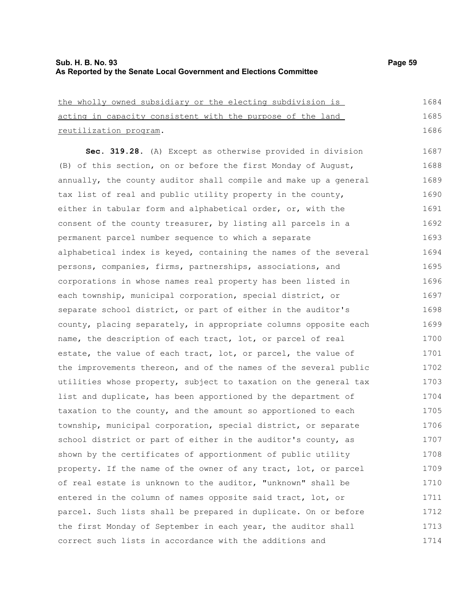the wholly owned subsidiary or the electing subdivision is 1684

acting in capacity consistent with the purpose of the land reutilization program.

**Sec. 319.28.** (A) Except as otherwise provided in division (B) of this section, on or before the first Monday of August, annually, the county auditor shall compile and make up a general tax list of real and public utility property in the county, either in tabular form and alphabetical order, or, with the consent of the county treasurer, by listing all parcels in a permanent parcel number sequence to which a separate alphabetical index is keyed, containing the names of the several persons, companies, firms, partnerships, associations, and corporations in whose names real property has been listed in each township, municipal corporation, special district, or separate school district, or part of either in the auditor's county, placing separately, in appropriate columns opposite each name, the description of each tract, lot, or parcel of real estate, the value of each tract, lot, or parcel, the value of the improvements thereon, and of the names of the several public utilities whose property, subject to taxation on the general tax list and duplicate, has been apportioned by the department of taxation to the county, and the amount so apportioned to each township, municipal corporation, special district, or separate school district or part of either in the auditor's county, as shown by the certificates of apportionment of public utility property. If the name of the owner of any tract, lot, or parcel of real estate is unknown to the auditor, "unknown" shall be entered in the column of names opposite said tract, lot, or parcel. Such lists shall be prepared in duplicate. On or before the first Monday of September in each year, the auditor shall correct such lists in accordance with the additions and 1687 1688 1689 1690 1691 1692 1693 1694 1695 1696 1697 1698 1699 1700 1701 1702 1703 1704 1705 1706 1707 1708 1709 1710 1711 1712 1713 1714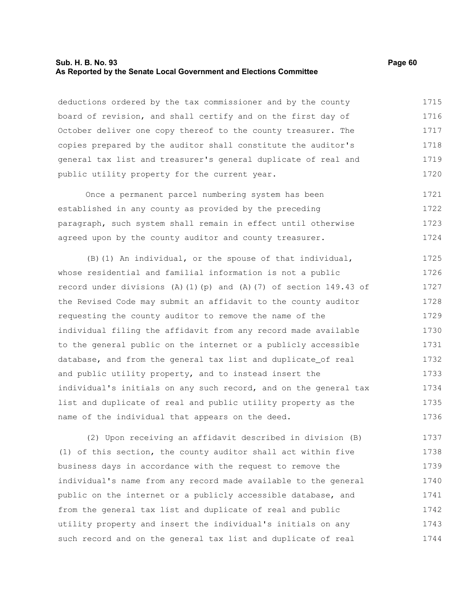#### **Sub. H. B. No. 93 Page 60 As Reported by the Senate Local Government and Elections Committee**

deductions ordered by the tax commissioner and by the county board of revision, and shall certify and on the first day of October deliver one copy thereof to the county treasurer. The copies prepared by the auditor shall constitute the auditor's general tax list and treasurer's general duplicate of real and public utility property for the current year. 1715 1716 1717 1718 1719 1720

Once a permanent parcel numbering system has been established in any county as provided by the preceding paragraph, such system shall remain in effect until otherwise agreed upon by the county auditor and county treasurer. 1721 1722 1723 1724

(B)(1) An individual, or the spouse of that individual, whose residential and familial information is not a public record under divisions (A)(1)(p) and (A)(7) of section 149.43 of the Revised Code may submit an affidavit to the county auditor requesting the county auditor to remove the name of the individual filing the affidavit from any record made available to the general public on the internet or a publicly accessible database, and from the general tax list and duplicate of real and public utility property, and to instead insert the individual's initials on any such record, and on the general tax list and duplicate of real and public utility property as the name of the individual that appears on the deed. 1725 1726 1727 1728 1729 1730 1731 1732 1733 1734 1735 1736

(2) Upon receiving an affidavit described in division (B) (1) of this section, the county auditor shall act within five business days in accordance with the request to remove the individual's name from any record made available to the general public on the internet or a publicly accessible database, and from the general tax list and duplicate of real and public utility property and insert the individual's initials on any such record and on the general tax list and duplicate of real 1737 1738 1739 1740 1741 1742 1743 1744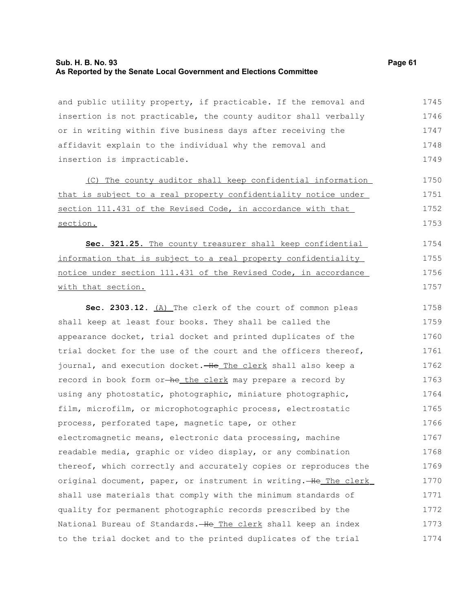#### **Sub. H. B. No. 93 Page 61 As Reported by the Senate Local Government and Elections Committee**

and public utility property, if practicable. If the removal and insertion is not practicable, the county auditor shall verbally or in writing within five business days after receiving the affidavit explain to the individual why the removal and insertion is impracticable. 1745 1746 1747 1748 1749

(C) The county auditor shall keep confidential information that is subject to a real property confidentiality notice under section 111.431 of the Revised Code, in accordance with that section. 1750 1751 1752 1753

 **Sec. 321.25.** The county treasurer shall keep confidential information that is subject to a real property confidentiality notice under section 111.431 of the Revised Code, in accordance with that section. 1754 1755 1756 1757

**Sec. 2303.12.** (A) The clerk of the court of common pleas shall keep at least four books. They shall be called the appearance docket, trial docket and printed duplicates of the trial docket for the use of the court and the officers thereof, journal, and execution docket. He The clerk shall also keep a record in book form or-he the clerk may prepare a record by using any photostatic, photographic, miniature photographic, film, microfilm, or microphotographic process, electrostatic process, perforated tape, magnetic tape, or other electromagnetic means, electronic data processing, machine readable media, graphic or video display, or any combination thereof, which correctly and accurately copies or reproduces the original document, paper, or instrument in writing. He The clerk shall use materials that comply with the minimum standards of quality for permanent photographic records prescribed by the National Bureau of Standards. He The clerk shall keep an index to the trial docket and to the printed duplicates of the trial 1758 1759 1760 1761 1762 1763 1764 1765 1766 1767 1768 1769 1770 1771 1772 1773 1774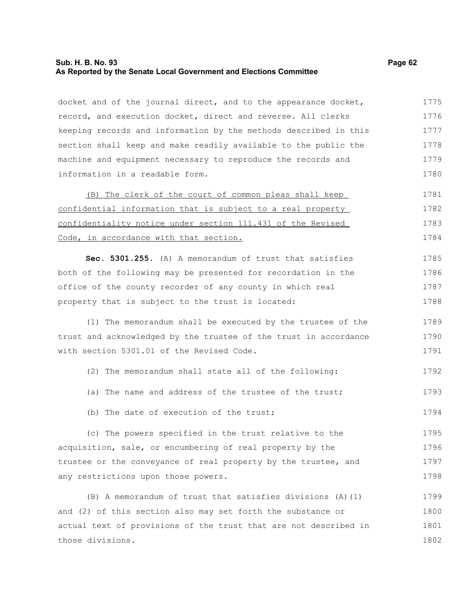#### **Sub. H. B. No. 93 Page 62 As Reported by the Senate Local Government and Elections Committee**

docket and of the journal direct, and to the appearance docket, record, and execution docket, direct and reverse. All clerks keeping records and information by the methods described in this section shall keep and make readily available to the public the machine and equipment necessary to reproduce the records and information in a readable form. 1775 1776 1777 1778 1779 1780

| (B) The clerk of the court of common pleas shall keep       | 1781 |
|-------------------------------------------------------------|------|
| confidential information that is subject to a real property | 1782 |
| confidentiality notice under section 111.431 of the Revised | 1783 |
| Code, in accordance with that section.                      | 1784 |

**Sec. 5301.255.** (A) A memorandum of trust that satisfies both of the following may be presented for recordation in the office of the county recorder of any county in which real property that is subject to the trust is located: 1785 1786 1787 1788

(1) The memorandum shall be executed by the trustee of the trust and acknowledged by the trustee of the trust in accordance with section 5301.01 of the Revised Code. 1789 1790 1791

|  |  | (2) The memorandum shall state all of the following:  |  |  |  |  | 1792 |
|--|--|-------------------------------------------------------|--|--|--|--|------|
|  |  | (a) The name and address of the trustee of the trust; |  |  |  |  | 1793 |

(b) The date of execution of the trust; 1794

(c) The powers specified in the trust relative to the acquisition, sale, or encumbering of real property by the trustee or the conveyance of real property by the trustee, and any restrictions upon those powers. 1795 1796 1797 1798

(B) A memorandum of trust that satisfies divisions (A)(1) and (2) of this section also may set forth the substance or actual text of provisions of the trust that are not described in those divisions. 1799 1800 1801 1802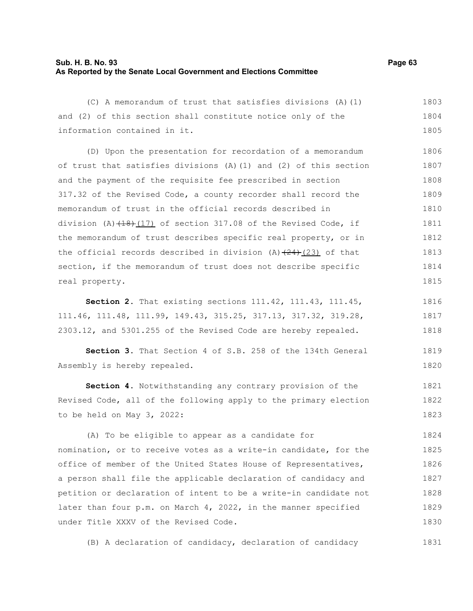#### **Sub. H. B. No. 93 Page 63 As Reported by the Senate Local Government and Elections Committee**

(C) A memorandum of trust that satisfies divisions (A)(1) and (2) of this section shall constitute notice only of the information contained in it. 1803 1804 1805

(D) Upon the presentation for recordation of a memorandum of trust that satisfies divisions  $(A)$   $(1)$  and  $(2)$  of this section and the payment of the requisite fee prescribed in section 317.32 of the Revised Code, a county recorder shall record the memorandum of trust in the official records described in division (A) $(18)$  (17) of section 317.08 of the Revised Code, if the memorandum of trust describes specific real property, or in the official records described in division  $(A)$   $(24)$  (23) of that section, if the memorandum of trust does not describe specific real property. 1806 1807 1808 1809 1810 1811 1812 1813 1814 1815

**Section 2.** That existing sections 111.42, 111.43, 111.45, 111.46, 111.48, 111.99, 149.43, 315.25, 317.13, 317.32, 319.28, 2303.12, and 5301.255 of the Revised Code are hereby repealed. 1816 1817 1818

**Section 3.** That Section 4 of S.B. 258 of the 134th General Assembly is hereby repealed. 1819 1820

**Section 4.** Notwithstanding any contrary provision of the Revised Code, all of the following apply to the primary election to be held on May 3, 2022: 1821 1822 1823

(A) To be eligible to appear as a candidate for nomination, or to receive votes as a write-in candidate, for the office of member of the United States House of Representatives, a person shall file the applicable declaration of candidacy and petition or declaration of intent to be a write-in candidate not later than four p.m. on March 4, 2022, in the manner specified under Title XXXV of the Revised Code. 1824 1825 1826 1827 1828 1829 1830

(B) A declaration of candidacy, declaration of candidacy 1831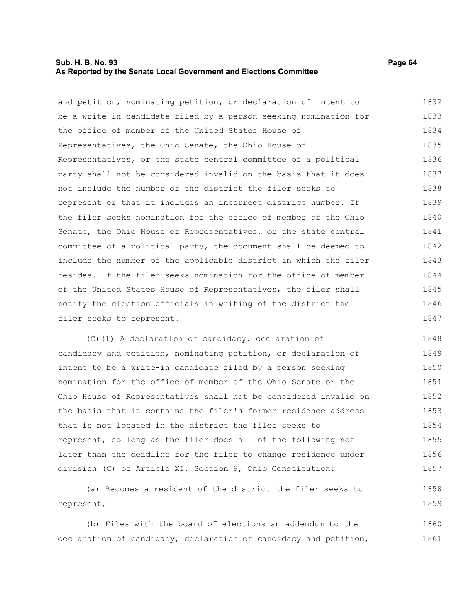#### **Sub. H. B. No. 93 Page 64 As Reported by the Senate Local Government and Elections Committee**

and petition, nominating petition, or declaration of intent to be a write-in candidate filed by a person seeking nomination for the office of member of the United States House of Representatives, the Ohio Senate, the Ohio House of Representatives, or the state central committee of a political party shall not be considered invalid on the basis that it does not include the number of the district the filer seeks to represent or that it includes an incorrect district number. If the filer seeks nomination for the office of member of the Ohio Senate, the Ohio House of Representatives, or the state central committee of a political party, the document shall be deemed to include the number of the applicable district in which the filer resides. If the filer seeks nomination for the office of member of the United States House of Representatives, the filer shall notify the election officials in writing of the district the filer seeks to represent. 1832 1833 1834 1835 1836 1837 1838 1839 1840 1841 1842 1843 1844 1845 1846 1847

(C)(1) A declaration of candidacy, declaration of candidacy and petition, nominating petition, or declaration of intent to be a write-in candidate filed by a person seeking nomination for the office of member of the Ohio Senate or the Ohio House of Representatives shall not be considered invalid on the basis that it contains the filer's former residence address that is not located in the district the filer seeks to represent, so long as the filer does all of the following not later than the deadline for the filer to change residence under division (C) of Article XI, Section 9, Ohio Constitution: 1848 1849 1850 1851 1852 1853 1854 1855 1856 1857

(a) Becomes a resident of the district the filer seeks to represent; 1858 1859

(b) Files with the board of elections an addendum to the declaration of candidacy, declaration of candidacy and petition, 1860 1861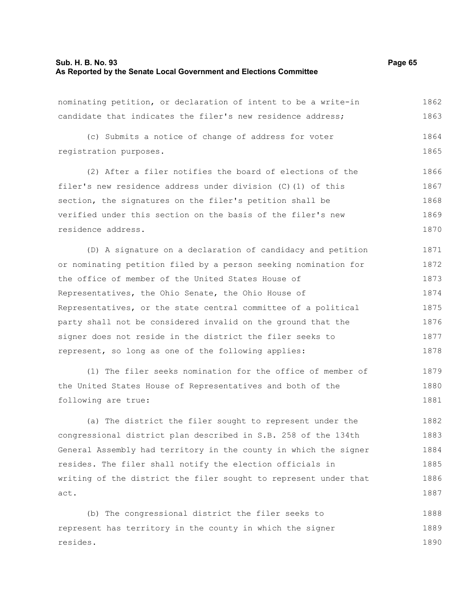#### **Sub. H. B. No. 93 Page 65 As Reported by the Senate Local Government and Elections Committee**

| nominating petition, or declaration of intent to be a write-in  | 1862 |  |  |  |  |  |  |
|-----------------------------------------------------------------|------|--|--|--|--|--|--|
| candidate that indicates the filer's new residence address;     |      |  |  |  |  |  |  |
| (c) Submits a notice of change of address for voter             | 1864 |  |  |  |  |  |  |
| registration purposes.                                          |      |  |  |  |  |  |  |
| (2) After a filer notifies the board of elections of the        | 1866 |  |  |  |  |  |  |
| filer's new residence address under division (C)(1) of this     | 1867 |  |  |  |  |  |  |
| section, the signatures on the filer's petition shall be        | 1868 |  |  |  |  |  |  |
| verified under this section on the basis of the filer's new     |      |  |  |  |  |  |  |
| residence address.                                              |      |  |  |  |  |  |  |
| (D) A signature on a declaration of candidacy and petition      | 1871 |  |  |  |  |  |  |
| or nominating petition filed by a person seeking nomination for | 1872 |  |  |  |  |  |  |
| the office of member of the United States House of              | 1873 |  |  |  |  |  |  |

Representatives, the Ohio Senate, the Ohio House of Representatives, or the state central committee of a political party shall not be considered invalid on the ground that the signer does not reside in the district the filer seeks to represent, so long as one of the following applies: 1874 1875 1876 1877 1878

(1) The filer seeks nomination for the office of member of the United States House of Representatives and both of the following are true: 1879 1880 1881

(a) The district the filer sought to represent under the congressional district plan described in S.B. 258 of the 134th General Assembly had territory in the county in which the signer resides. The filer shall notify the election officials in writing of the district the filer sought to represent under that act. 1882 1883 1884 1885 1886 1887

(b) The congressional district the filer seeks to represent has territory in the county in which the signer resides. 1888 1889 1890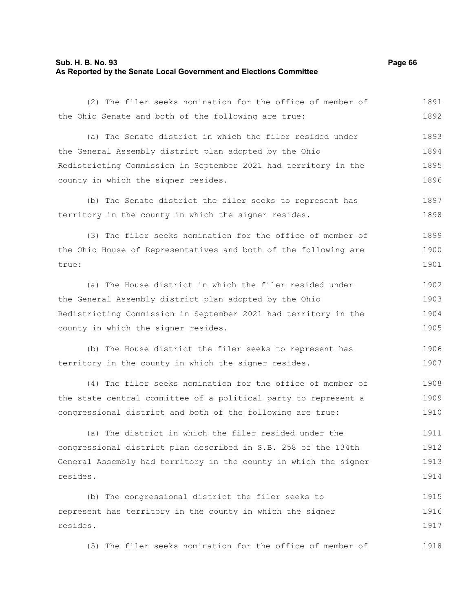#### **Sub. H. B. No. 93 Page 66 As Reported by the Senate Local Government and Elections Committee**

(2) The filer seeks nomination for the office of member of

1891

the Ohio Senate and both of the following are true: (a) The Senate district in which the filer resided under the General Assembly district plan adopted by the Ohio Redistricting Commission in September 2021 had territory in the county in which the signer resides. (b) The Senate district the filer seeks to represent has territory in the county in which the signer resides. (3) The filer seeks nomination for the office of member of the Ohio House of Representatives and both of the following are true: (a) The House district in which the filer resided under the General Assembly district plan adopted by the Ohio Redistricting Commission in September 2021 had territory in the county in which the signer resides. (b) The House district the filer seeks to represent has territory in the county in which the signer resides. (4) The filer seeks nomination for the office of member of the state central committee of a political party to represent a congressional district and both of the following are true: 1892 1893 1894 1895 1896 1897 1898 1899 1900 1901 1902 1903 1904 1905 1906 1907 1908 1909 1910

(a) The district in which the filer resided under the congressional district plan described in S.B. 258 of the 134th General Assembly had territory in the county in which the signer resides. 1911 1912 1913 1914

(b) The congressional district the filer seeks to represent has territory in the county in which the signer resides. 1915 1916 1917

(5) The filer seeks nomination for the office of member of 1918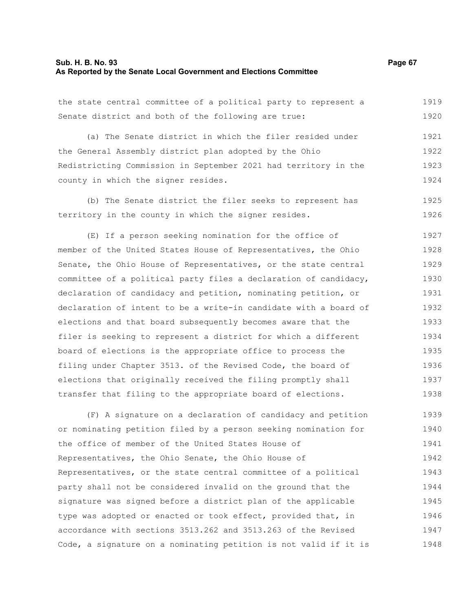#### **Sub. H. B. No. 93 Page 67 As Reported by the Senate Local Government and Elections Committee**

the state central committee of a political party to represent a Senate district and both of the following are true: (a) The Senate district in which the filer resided under the General Assembly district plan adopted by the Ohio Redistricting Commission in September 2021 had territory in the county in which the signer resides. (b) The Senate district the filer seeks to represent has territory in the county in which the signer resides. (E) If a person seeking nomination for the office of member of the United States House of Representatives, the Ohio Senate, the Ohio House of Representatives, or the state central committee of a political party files a declaration of candidacy, declaration of candidacy and petition, nominating petition, or declaration of intent to be a write-in candidate with a board of elections and that board subsequently becomes aware that the filer is seeking to represent a district for which a different board of elections is the appropriate office to process the filing under Chapter 3513. of the Revised Code, the board of elections that originally received the filing promptly shall transfer that filing to the appropriate board of elections. 1919 1920 1921 1922 1923 1924 1925 1926 1927 1928 1929 1930 1931 1932 1933 1934 1935 1936 1937 1938 1939

(F) A signature on a declaration of candidacy and petition or nominating petition filed by a person seeking nomination for the office of member of the United States House of Representatives, the Ohio Senate, the Ohio House of Representatives, or the state central committee of a political party shall not be considered invalid on the ground that the signature was signed before a district plan of the applicable type was adopted or enacted or took effect, provided that, in accordance with sections 3513.262 and 3513.263 of the Revised Code, a signature on a nominating petition is not valid if it is 1940 1941 1942 1943 1944 1945 1946 1947 1948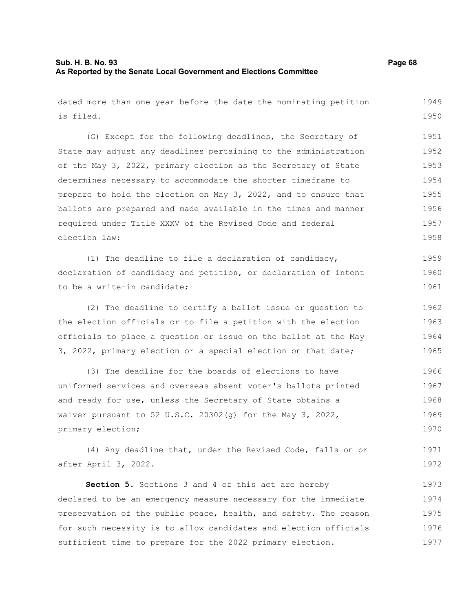### **Sub. H. B. No. 93 Page 68 As Reported by the Senate Local Government and Elections Committee**

dated more than one year before the date the nominating petition is filed. (G) Except for the following deadlines, the Secretary of State may adjust any deadlines pertaining to the administration of the May 3, 2022, primary election as the Secretary of State determines necessary to accommodate the shorter timeframe to prepare to hold the election on May 3, 2022, and to ensure that ballots are prepared and made available in the times and manner required under Title XXXV of the Revised Code and federal election law: (1) The deadline to file a declaration of candidacy, declaration of candidacy and petition, or declaration of intent to be a write-in candidate; (2) The deadline to certify a ballot issue or question to the election officials or to file a petition with the election officials to place a question or issue on the ballot at the May 3, 2022, primary election or a special election on that date; (3) The deadline for the boards of elections to have uniformed services and overseas absent voter's ballots printed and ready for use, unless the Secretary of State obtains a waiver pursuant to 52 U.S.C. 20302(g) for the May 3, 2022, primary election; (4) Any deadline that, under the Revised Code, falls on or after April 3, 2022. **Section 5.** Sections 3 and 4 of this act are hereby declared to be an emergency measure necessary for the immediate preservation of the public peace, health, and safety. The reason for such necessity is to allow candidates and election officials sufficient time to prepare for the 2022 primary election. 1949 1950 1951 1952 1953 1954 1955 1956 1957 1958 1959 1960 1961 1962 1963 1964 1965 1966 1967 1968 1969 1970 1971 1972 1973 1974 1975 1976 1977